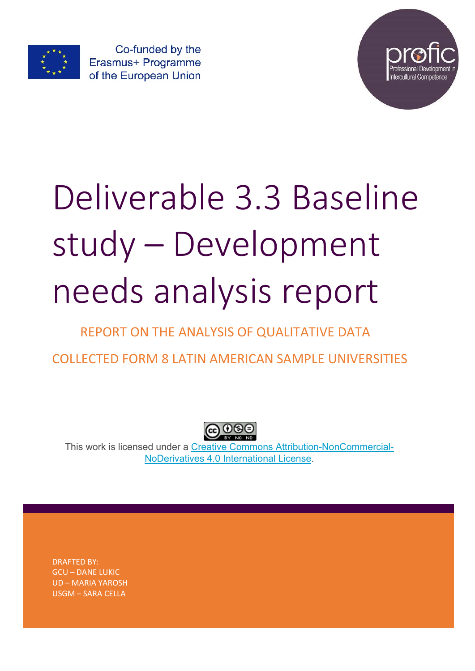

Co-funded by the Erasmus+ Programme of the European Union



# Deliverable 3.3 Baseline study – Development needs analysis report

# REPORT ON THE ANALYSIS OF QUALITATIVE DATA

COLLECTED FORM 8 LATIN AMERICAN SAMPLE UNIVERSITIES



This work is licensed under a Creative Commons Attribution-NonCommercial-NoDerivatives 4.0 International License.

DRAFTED BY: GCU – DANE LUKIC UD – MARIA YAROSH USGM – SARA CELLA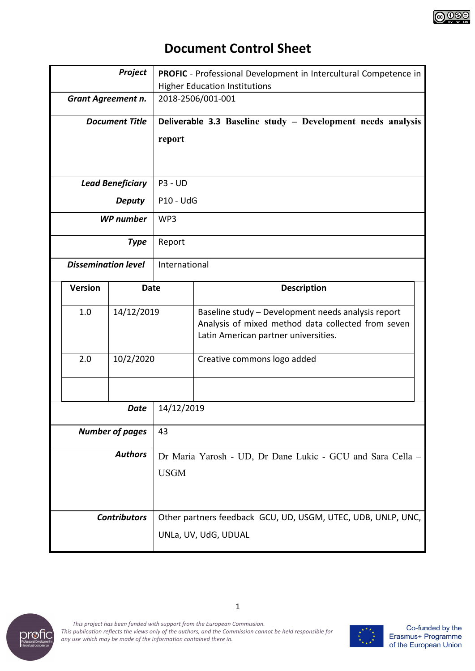

# **Document Control Sheet**

| Project                    |             | <b>PROFIC</b> - Professional Development in Intercultural Competence in                                                                          |                             |  |  |  |  |
|----------------------------|-------------|--------------------------------------------------------------------------------------------------------------------------------------------------|-----------------------------|--|--|--|--|
|                            |             | <b>Higher Education Institutions</b>                                                                                                             |                             |  |  |  |  |
| Grant Agreement n.         |             | 2018-2506/001-001                                                                                                                                |                             |  |  |  |  |
| <b>Document Title</b>      |             | Deliverable 3.3 Baseline study - Development needs analysis                                                                                      |                             |  |  |  |  |
|                            |             | report                                                                                                                                           |                             |  |  |  |  |
|                            |             |                                                                                                                                                  |                             |  |  |  |  |
|                            |             |                                                                                                                                                  |                             |  |  |  |  |
| <b>Lead Beneficiary</b>    |             | <b>P3 - UD</b>                                                                                                                                   |                             |  |  |  |  |
| <b>Deputy</b>              |             | <b>P10 - UdG</b>                                                                                                                                 |                             |  |  |  |  |
| <b>WP</b> number           |             | WP3                                                                                                                                              |                             |  |  |  |  |
|                            | <b>Type</b> | Report                                                                                                                                           |                             |  |  |  |  |
| <b>Dissemination level</b> |             | International                                                                                                                                    |                             |  |  |  |  |
| <b>Version</b>             | <b>Date</b> |                                                                                                                                                  | <b>Description</b>          |  |  |  |  |
| 1.0<br>14/12/2019          |             | Baseline study - Development needs analysis report<br>Analysis of mixed method data collected from seven<br>Latin American partner universities. |                             |  |  |  |  |
| 2.0<br>10/2/2020           |             |                                                                                                                                                  | Creative commons logo added |  |  |  |  |
|                            |             |                                                                                                                                                  |                             |  |  |  |  |
|                            |             |                                                                                                                                                  |                             |  |  |  |  |
|                            | <b>Date</b> | 14/12/2019                                                                                                                                       |                             |  |  |  |  |
| <b>Number of pages</b>     |             | 43                                                                                                                                               |                             |  |  |  |  |
| <b>Authors</b>             |             | Dr Maria Yarosh - UD, Dr Dane Lukic - GCU and Sara Cella -                                                                                       |                             |  |  |  |  |
|                            |             | <b>USGM</b>                                                                                                                                      |                             |  |  |  |  |
|                            |             |                                                                                                                                                  |                             |  |  |  |  |
|                            |             |                                                                                                                                                  |                             |  |  |  |  |
| <b>Contributors</b>        |             | Other partners feedback GCU, UD, USGM, UTEC, UDB, UNLP, UNC,                                                                                     |                             |  |  |  |  |
|                            |             | UNLa, UV, UdG, UDUAL                                                                                                                             |                             |  |  |  |  |



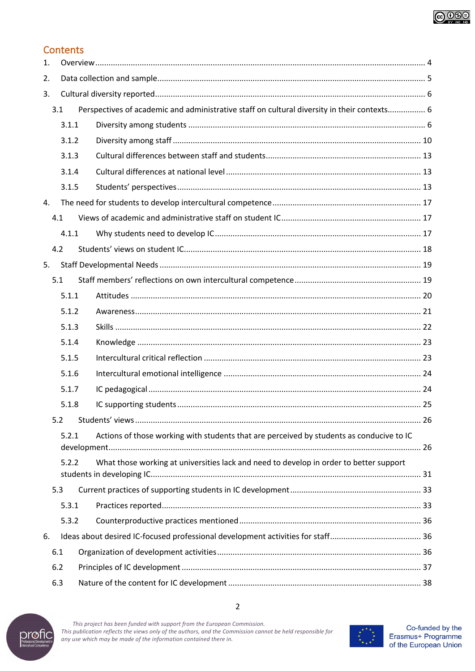

# **Contents**

| $\mathbf{1}$ . |       |                                                                                             |  |  |  |  |  |  |
|----------------|-------|---------------------------------------------------------------------------------------------|--|--|--|--|--|--|
| 2.             |       |                                                                                             |  |  |  |  |  |  |
| 3.             |       |                                                                                             |  |  |  |  |  |  |
|                | 3.1   | Perspectives of academic and administrative staff on cultural diversity in their contexts 6 |  |  |  |  |  |  |
|                | 3.1.1 |                                                                                             |  |  |  |  |  |  |
|                | 3.1.2 |                                                                                             |  |  |  |  |  |  |
|                | 3.1.3 |                                                                                             |  |  |  |  |  |  |
|                | 3.1.4 |                                                                                             |  |  |  |  |  |  |
|                | 3.1.5 |                                                                                             |  |  |  |  |  |  |
| 4.             |       |                                                                                             |  |  |  |  |  |  |
|                | 4.1   |                                                                                             |  |  |  |  |  |  |
|                | 4.1.1 |                                                                                             |  |  |  |  |  |  |
|                | 4.2   |                                                                                             |  |  |  |  |  |  |
| 5.             |       |                                                                                             |  |  |  |  |  |  |
|                | 5.1   |                                                                                             |  |  |  |  |  |  |
|                | 5.1.1 |                                                                                             |  |  |  |  |  |  |
|                | 5.1.2 |                                                                                             |  |  |  |  |  |  |
|                | 5.1.3 |                                                                                             |  |  |  |  |  |  |
|                | 5.1.4 |                                                                                             |  |  |  |  |  |  |
|                | 5.1.5 |                                                                                             |  |  |  |  |  |  |
|                | 5.1.6 |                                                                                             |  |  |  |  |  |  |
|                | 5.1.7 |                                                                                             |  |  |  |  |  |  |
|                | 5.1.8 |                                                                                             |  |  |  |  |  |  |
|                | 5.2   |                                                                                             |  |  |  |  |  |  |
|                | 5.2.1 | Actions of those working with students that are perceived by students as conducive to IC    |  |  |  |  |  |  |
|                | 5.2.2 | What those working at universities lack and need to develop in order to better support      |  |  |  |  |  |  |
|                | 5.3   |                                                                                             |  |  |  |  |  |  |
|                | 5.3.1 |                                                                                             |  |  |  |  |  |  |
|                | 5.3.2 |                                                                                             |  |  |  |  |  |  |
| 6.             |       |                                                                                             |  |  |  |  |  |  |
|                | 6.1   |                                                                                             |  |  |  |  |  |  |
|                | 6.2   |                                                                                             |  |  |  |  |  |  |
|                | 6.3   |                                                                                             |  |  |  |  |  |  |



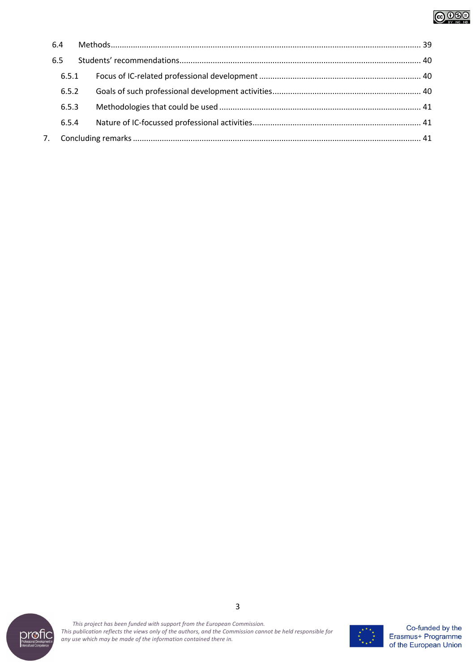# **@000**

| 6.4   |  |  |  |  |  |
|-------|--|--|--|--|--|
| 6.5   |  |  |  |  |  |
| 6.5.1 |  |  |  |  |  |
| 6.5.2 |  |  |  |  |  |
| 6.5.3 |  |  |  |  |  |
| 6.5.4 |  |  |  |  |  |
|       |  |  |  |  |  |
|       |  |  |  |  |  |



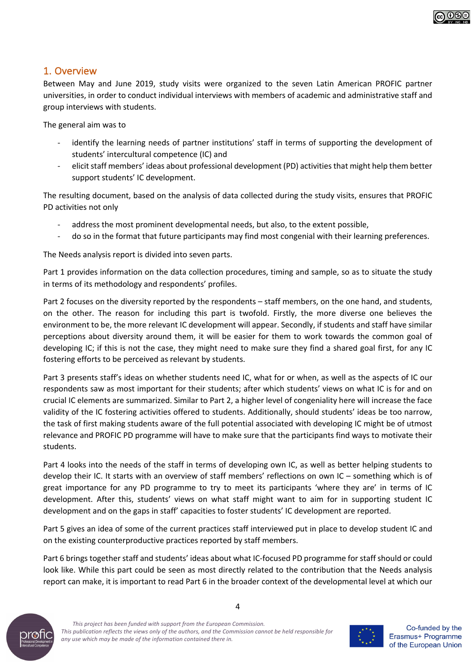

## 1. Overview

Between May and June 2019, study visits were organized to the seven Latin American PROFIC partner universities, in order to conduct individual interviews with members of academic and administrative staff and group interviews with students.

The general aim was to

- identify the learning needs of partner institutions' staff in terms of supporting the development of students' intercultural competence (IC) and
- elicit staff members' ideas about professional development (PD) activities that might help them better support students' IC development.

The resulting document, based on the analysis of data collected during the study visits, ensures that PROFIC PD activities not only

- address the most prominent developmental needs, but also, to the extent possible,
- do so in the format that future participants may find most congenial with their learning preferences.

The Needs analysis report is divided into seven parts.

Part 1 provides information on the data collection procedures, timing and sample, so as to situate the study in terms of its methodology and respondents' profiles.

Part 2 focuses on the diversity reported by the respondents – staff members, on the one hand, and students, on the other. The reason for including this part is twofold. Firstly, the more diverse one believes the environment to be, the more relevant IC development will appear. Secondly, if students and staff have similar perceptions about diversity around them, it will be easier for them to work towards the common goal of developing IC; if this is not the case, they might need to make sure they find a shared goal first, for any IC fostering efforts to be perceived as relevant by students.

Part 3 presents staff's ideas on whether students need IC, what for or when, as well as the aspects of IC our respondents saw as most important for their students; after which students' views on what IC is for and on crucial IC elements are summarized. Similar to Part 2, a higher level of congeniality here will increase the face validity of the IC fostering activities offered to students. Additionally, should students' ideas be too narrow, the task of first making students aware of the full potential associated with developing IC might be of utmost relevance and PROFIC PD programme will have to make sure that the participants find ways to motivate their students.

Part 4 looks into the needs of the staff in terms of developing own IC, as well as better helping students to develop their IC. It starts with an overview of staff members' reflections on own IC – something which is of great importance for any PD programme to try to meet its participants 'where they are' in terms of IC development. After this, students' views on what staff might want to aim for in supporting student IC development and on the gaps in staff' capacities to foster students' IC development are reported.

Part 5 gives an idea of some of the current practices staff interviewed put in place to develop student IC and on the existing counterproductive practices reported by staff members.

Part 6 brings together staff and students' ideas about what IC-focused PD programme for staff should or could look like. While this part could be seen as most directly related to the contribution that the Needs analysis report can make, it is important to read Part 6 in the broader context of the developmental level at which our



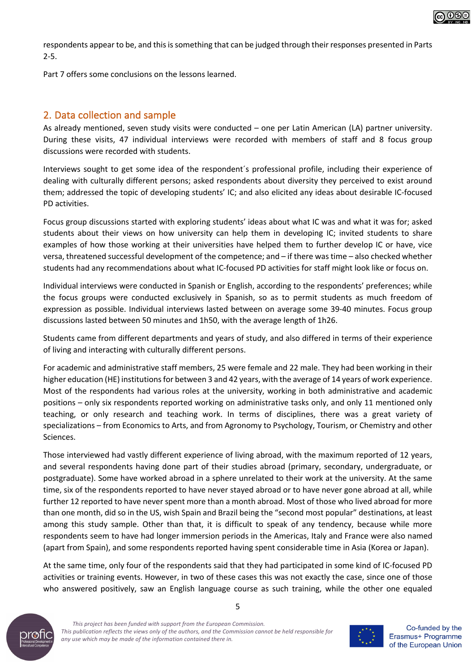

respondents appear to be, and this is something that can be judged through their responses presented in Parts 2-5.

Part 7 offers some conclusions on the lessons learned.

# 2. Data collection and sample

As already mentioned, seven study visits were conducted – one per Latin American (LA) partner university. During these visits, 47 individual interviews were recorded with members of staff and 8 focus group discussions were recorded with students.

Interviews sought to get some idea of the respondent´s professional profile, including their experience of dealing with culturally different persons; asked respondents about diversity they perceived to exist around them; addressed the topic of developing students' IC; and also elicited any ideas about desirable IC-focused PD activities.

Focus group discussions started with exploring students' ideas about what IC was and what it was for; asked students about their views on how university can help them in developing IC; invited students to share examples of how those working at their universities have helped them to further develop IC or have, vice versa, threatened successful development of the competence; and – if there was time – also checked whether students had any recommendations about what IC-focused PD activities for staff might look like or focus on.

Individual interviews were conducted in Spanish or English, according to the respondents' preferences; while the focus groups were conducted exclusively in Spanish, so as to permit students as much freedom of expression as possible. Individual interviews lasted between on average some 39-40 minutes. Focus group discussions lasted between 50 minutes and 1h50, with the average length of 1h26.

Students came from different departments and years of study, and also differed in terms of their experience of living and interacting with culturally different persons.

For academic and administrative staff members, 25 were female and 22 male. They had been working in their higher education (HE) institutions for between 3 and 42 years, with the average of 14 years of work experience. Most of the respondents had various roles at the university, working in both administrative and academic positions – only six respondents reported working on administrative tasks only, and only 11 mentioned only teaching, or only research and teaching work. In terms of disciplines, there was a great variety of specializations – from Economics to Arts, and from Agronomy to Psychology, Tourism, or Chemistry and other Sciences.

Those interviewed had vastly different experience of living abroad, with the maximum reported of 12 years, and several respondents having done part of their studies abroad (primary, secondary, undergraduate, or postgraduate). Some have worked abroad in a sphere unrelated to their work at the university. At the same time, six of the respondents reported to have never stayed abroad or to have never gone abroad at all, while further 12 reported to have never spent more than a month abroad. Most of those who lived abroad for more than one month, did so in the US, wish Spain and Brazil being the "second most popular" destinations, at least among this study sample. Other than that, it is difficult to speak of any tendency, because while more respondents seem to have had longer immersion periods in the Americas, Italy and France were also named (apart from Spain), and some respondents reported having spent considerable time in Asia (Korea or Japan).

At the same time, only four of the respondents said that they had participated in some kind of IC-focused PD activities or training events. However, in two of these cases this was not exactly the case, since one of those who answered positively, saw an English language course as such training, while the other one equaled



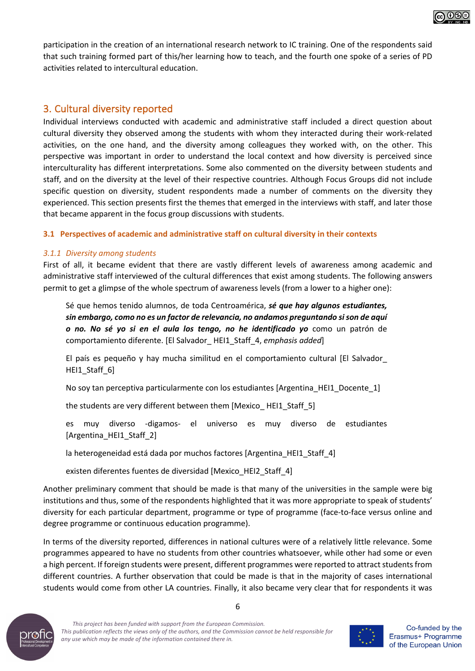

### 3. Cultural diversity reported

Individual interviews conducted with academic and administrative staff included a direct question about cultural diversity they observed among the students with whom they interacted during their work-related activities, on the one hand, and the diversity among colleagues they worked with, on the other. This perspective was important in order to understand the local context and how diversity is perceived since interculturality has different interpretations. Some also commented on the diversity between students and staff, and on the diversity at the level of their respective countries. Although Focus Groups did not include specific question on diversity, student respondents made a number of comments on the diversity they experienced. This section presents first the themes that emerged in the interviews with staff, and later those that became apparent in the focus group discussions with students.

#### **3.1 Perspectives of academic and administrative staff on cultural diversity in their contexts**

#### *3.1.1 Diversity among students*

First of all, it became evident that there are vastly different levels of awareness among academic and administrative staff interviewed of the cultural differences that exist among students. The following answers permit to get a glimpse of the whole spectrum of awareness levels (from a lower to a higher one):

Sé que hemos tenido alumnos, de toda Centroamérica, *sé que hay algunos estudiantes, sin embargo, como no es un factor de relevancia, no andamos preguntando si son de aquí o no. No sé yo si en el aula los tengo, no he identificado yo* como un patrón de comportamiento diferente. [El Salvador\_ HEI1\_Staff\_4, *emphasis added*]

El país es pequeño y hay mucha similitud en el comportamiento cultural [El Salvador\_ HEI1\_Staff\_6]

No soy tan perceptiva particularmente con los estudiantes [Argentina\_HEI1\_Docente\_1]

the students are very different between them [Mexico\_ HEI1\_Staff\_5]

es muy diverso -digamos- el universo es muy diverso de estudiantes [Argentina HEI1 Staff 2]

la heterogeneidad está dada por muchos factores [Argentina\_HEI1\_Staff\_4]

existen diferentes fuentes de diversidad [Mexico\_HEI2\_Staff\_4]

Another preliminary comment that should be made is that many of the universities in the sample were big institutions and thus, some of the respondents highlighted that it was more appropriate to speak of students' diversity for each particular department, programme or type of programme (face-to-face versus online and degree programme or continuous education programme).

In terms of the diversity reported, differences in national cultures were of a relatively little relevance. Some programmes appeared to have no students from other countries whatsoever, while other had some or even a high percent. If foreign students were present, different programmes were reported to attract students from different countries. A further observation that could be made is that in the majority of cases international students would come from other LA countries. Finally, it also became very clear that for respondents it was

6



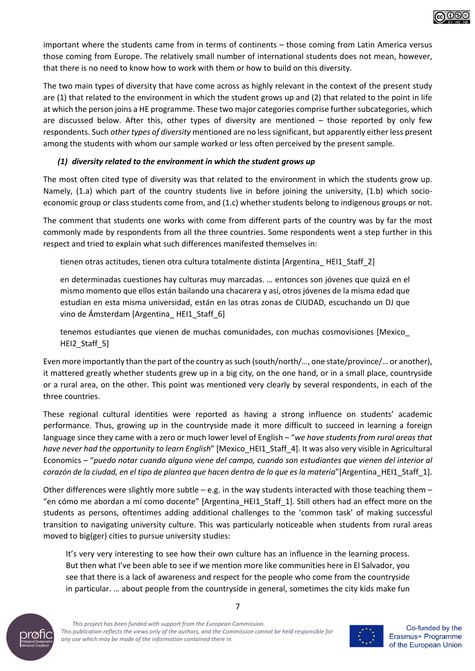

important where the students came from in terms of continents – those coming from Latin America versus those coming from Europe. The relatively small number of international students does not mean, however, that there is no need to know how to work with them or how to build on this diversity.

The two main types of diversity that have come across as highly relevant in the context of the present study are (1) that related to the environment in which the student grows up and (2) that related to the point in life at which the person joins a HE programme. These two major categories comprise further subcategories, which are discussed below. After this, other types of diversity are mentioned – those reported by only few respondents. Such *other types of diversity* mentioned are no less significant, but apparently either less present among the students with whom our sample worked or less often perceived by the present sample.

#### *(1) diversity related to the environment in which the student grows up*

The most often cited type of diversity was that related to the environment in which the students grow up. Namely, (1.a) which part of the country students live in before joining the university, (1.b) which socioeconomic group or class students come from, and (1.c) whether students belong to indigenous groups or not.

The comment that students one works with come from different parts of the country was by far the most commonly made by respondents from all the three countries. Some respondents went a step further in this respect and tried to explain what such differences manifested themselves in:

tienen otras actitudes, tienen otra cultura totalmente distinta [Argentina\_ HEI1\_Staff\_2]

en determinadas cuestiones hay culturas muy marcadas. … entonces son jóvenes que quizá en el mismo momento que ellos están bailando una chacarera y así, otros jóvenes de la misma edad que estudian en esta misma universidad, están en las otras zonas de CIUDAD, escuchando un DJ que vino de Ámsterdam [Argentina\_ HEI1\_Staff\_6]

tenemos estudiantes que vienen de muchas comunidades, con muchas cosmovisiones [Mexico\_ HEI2\_Staff\_5]

Even more importantly than the part of the country as such (south/north/…, one state/province/… or another), it mattered greatly whether students grew up in a big city, on the one hand, or in a small place, countryside or a rural area, on the other. This point was mentioned very clearly by several respondents, in each of the three countries.

These regional cultural identities were reported as having a strong influence on students' academic performance. Thus, growing up in the countryside made it more difficult to succeed in learning a foreign language since they came with a zero or much lower level of English – "*we have students from rural areas that have never had the opportunity to learn English*" [Mexico\_HEI1\_Staff\_4]. It was also very visible in Agricultural Economics – "*puedo notar cuando alguno viene del campo, cuando son estudiantes que vienen del interior al corazón de la ciudad, en el tipo de planteo que hacen dentro de lo que es la materia*"[Argentina\_HEI1\_Staff\_1].

Other differences were slightly more subtle – e.g. in the way students interacted with those teaching them – "en cómo me abordan a mí como docente" [Argentina\_HEI1\_Staff\_1]. Still others had an effect more on the students as persons, oftentimes adding additional challenges to the 'common task' of making successful transition to navigating university culture. This was particularly noticeable when students from rural areas moved to big(ger) cities to pursue university studies:

It's very very interesting to see how their own culture has an influence in the learning process. But then what I've been able to see if we mention more like communities here in El Salvador, you see that there is a lack of awareness and respect for the people who come from the countryside in particular. … about people from the countryside in general, sometimes the city kids make fun



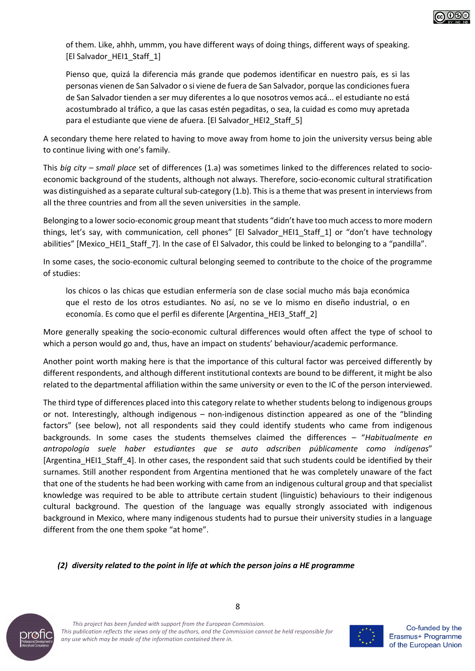of them. Like, ahhh, ummm, you have different ways of doing things, different ways of speaking. [El Salvador\_HEI1\_Staff\_1]

Pienso que, quizá la diferencia más grande que podemos identificar en nuestro país, es si las personas vienen de San Salvador o si viene de fuera de San Salvador, porque las condiciones fuera de San Salvador tienden a ser muy diferentes a lo que nosotros vemos acá... el estudiante no está acostumbrado al tráfico, a que las casas estén pegaditas, o sea, la cuidad es como muy apretada para el estudiante que viene de afuera. [El Salvador\_HEI2\_Staff\_5]

A secondary theme here related to having to move away from home to join the university versus being able to continue living with one's family.

This *big city – small place* set of differences (1.a) was sometimes linked to the differences related to socioeconomic background of the students, although not always. Therefore, socio-economic cultural stratification was distinguished as a separate cultural sub-category (1.b). This is a theme that was present in interviews from all the three countries and from all the seven universities in the sample.

Belonging to a lower socio-economic group meant that students "didn't have too much access to more modern things, let's say, with communication, cell phones" [El Salvador\_HEI1\_Staff\_1] or "don't have technology abilities" [Mexico\_HEI1\_Staff\_7]. In the case of El Salvador, this could be linked to belonging to a "pandilla".

In some cases, the socio-economic cultural belonging seemed to contribute to the choice of the programme of studies:

los chicos o las chicas que estudian enfermería son de clase social mucho más baja económica que el resto de los otros estudiantes. No así, no se ve lo mismo en diseño industrial, o en economía. Es como que el perfil es diferente [Argentina\_HEI3\_Staff\_2]

More generally speaking the socio-economic cultural differences would often affect the type of school to which a person would go and, thus, have an impact on students' behaviour/academic performance.

Another point worth making here is that the importance of this cultural factor was perceived differently by different respondents, and although different institutional contexts are bound to be different, it might be also related to the departmental affiliation within the same university or even to the IC of the person interviewed.

The third type of differences placed into this category relate to whether students belong to indigenous groups or not. Interestingly, although indigenous – non-indigenous distinction appeared as one of the "blinding factors" (see below), not all respondents said they could identify students who came from indigenous backgrounds. In some cases the students themselves claimed the differences – "*Habitualmente en antropología suele haber estudiantes que se auto adscriben públicamente como indígenas*" [Argentina\_HEI1\_Staff\_4]. In other cases, the respondent said that such students could be identified by their surnames. Still another respondent from Argentina mentioned that he was completely unaware of the fact that one of the students he had been working with came from an indigenous cultural group and that specialist knowledge was required to be able to attribute certain student (linguistic) behaviours to their indigenous cultural background. The question of the language was equally strongly associated with indigenous background in Mexico, where many indigenous students had to pursue their university studies in a language different from the one them spoke "at home".

#### *(2) diversity related to the point in life at which the person joins a HE programme*



*This project has been funded with support from the European Commission. This publication reflects the views only of the authors, and the Commission cannot be held responsible for any use which may be made of the information contained there in.*

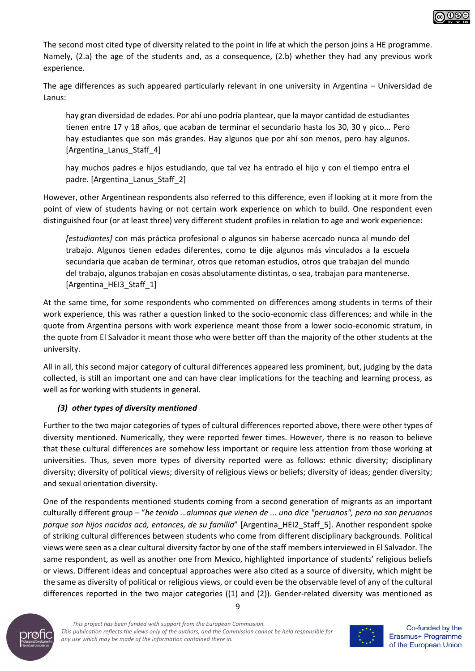

The second most cited type of diversity related to the point in life at which the person joins a HE programme. Namely, (2.a) the age of the students and, as a consequence, (2.b) whether they had any previous work experience.

The age differences as such appeared particularly relevant in one university in Argentina – Universidad de Lanus:

hay gran diversidad de edades. Por ahí uno podría plantear, que la mayor cantidad de estudiantes tienen entre 17 y 18 años, que acaban de terminar el secundario hasta los 30, 30 y pico... Pero hay estudiantes que son más grandes. Hay algunos que por ahí son menos, pero hay algunos. [Argentina\_Lanus\_Staff\_4]

hay muchos padres e hijos estudiando, que tal vez ha entrado el hijo y con el tiempo entra el padre. [Argentina\_Lanus\_Staff\_2]

However, other Argentinean respondents also referred to this difference, even if looking at it more from the point of view of students having or not certain work experience on which to build. One respondent even distinguished four (or at least three) very different student profiles in relation to age and work experience:

*[estudiantes]* con más práctica profesional o algunos sin haberse acercado nunca al mundo del trabajo. Algunos tienen edades diferentes, como te dije algunos más vinculados a la escuela secundaria que acaban de terminar, otros que retoman estudios, otros que trabajan del mundo del trabajo, algunos trabajan en cosas absolutamente distintas, o sea, trabajan para mantenerse. [Argentina\_HEI3\_Staff\_1]

At the same time, for some respondents who commented on differences among students in terms of their work experience, this was rather a question linked to the socio-economic class differences; and while in the quote from Argentina persons with work experience meant those from a lower socio-economic stratum, in the quote from El Salvador it meant those who were better off than the majority of the other students at the university.

All in all, this second major category of cultural differences appeared less prominent, but, judging by the data collected, is still an important one and can have clear implications for the teaching and learning process, as well as for working with students in general.

#### *(3) other types of diversity mentioned*

Further to the two major categories of types of cultural differences reported above, there were other types of diversity mentioned. Numerically, they were reported fewer times. However, there is no reason to believe that these cultural differences are somehow less important or require less attention from those working at universities. Thus, seven more types of diversity reported were as follows: ethnic diversity; disciplinary diversity; diversity of political views; diversity of religious views or beliefs; diversity of ideas; gender diversity; and sexual orientation diversity.

One of the respondents mentioned students coming from a second generation of migrants as an important culturally different group – "*he tenido …alumnos que vienen de ... uno dice "peruanos", pero no son peruanos porque son hijos nacidos acá, entonces, de su familia*" [Argentina\_HEI2\_Staff\_5]. Another respondent spoke of striking cultural differences between students who come from different disciplinary backgrounds. Political views were seen as a clear cultural diversity factor by one of the staff members interviewed in El Salvador. The same respondent, as well as another one from Mexico, highlighted importance of students' religious beliefs or views. Different ideas and conceptual approaches were also cited as a source of diversity, which might be the same as diversity of political or religious views, or could even be the observable level of any of the cultural differences reported in the two major categories ((1) and (2)). Gender-related diversity was mentioned as



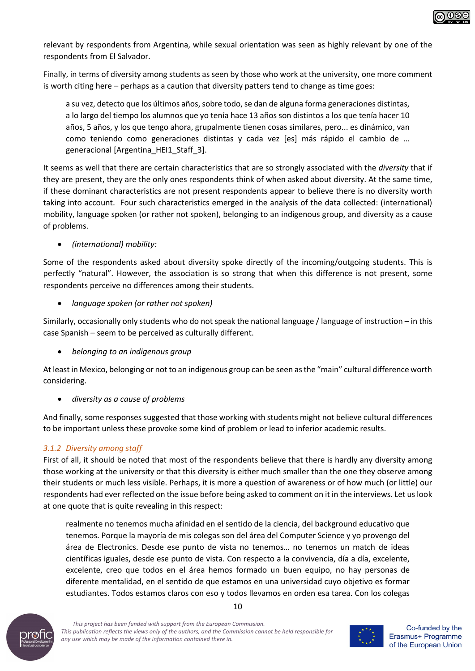

relevant by respondents from Argentina, while sexual orientation was seen as highly relevant by one of the respondents from El Salvador.

Finally, in terms of diversity among students as seen by those who work at the university, one more comment is worth citing here – perhaps as a caution that diversity patters tend to change as time goes:

a su vez, detecto que los últimos años, sobre todo, se dan de alguna forma generaciones distintas, a lo largo del tiempo los alumnos que yo tenía hace 13 años son distintos a los que tenía hacer 10 años, 5 años, y los que tengo ahora, grupalmente tienen cosas similares, pero... es dinámico, van como teniendo como generaciones distintas y cada vez [es] más rápido el cambio de … generacional [Argentina\_HEI1\_Staff\_3].

It seems as well that there are certain characteristics that are so strongly associated with the *diversity* that if they are present, they are the only ones respondents think of when asked about diversity. At the same time, if these dominant characteristics are not present respondents appear to believe there is no diversity worth taking into account. Four such characteristics emerged in the analysis of the data collected: (international) mobility, language spoken (or rather not spoken), belonging to an indigenous group, and diversity as a cause of problems.

#### • *(international) mobility:*

Some of the respondents asked about diversity spoke directly of the incoming/outgoing students. This is perfectly "natural". However, the association is so strong that when this difference is not present, some respondents perceive no differences among their students.

#### • *language spoken (or rather not spoken)*

Similarly, occasionally only students who do not speak the national language / language of instruction – in this case Spanish – seem to be perceived as culturally different.

• *belonging to an indigenous group*

At least in Mexico, belonging or not to an indigenous group can be seen as the "main" cultural difference worth considering.

• *diversity as a cause of problems*

And finally, some responses suggested that those working with students might not believe cultural differences to be important unless these provoke some kind of problem or lead to inferior academic results.

#### *3.1.2 Diversity among staff*

First of all, it should be noted that most of the respondents believe that there is hardly any diversity among those working at the university or that this diversity is either much smaller than the one they observe among their students or much less visible. Perhaps, it is more a question of awareness or of how much (or little) our respondents had ever reflected on the issue before being asked to comment on it in the interviews. Let us look at one quote that is quite revealing in this respect:

realmente no tenemos mucha afinidad en el sentido de la ciencia, del background educativo que tenemos. Porque la mayoría de mis colegas son del área del Computer Science y yo provengo del área de Electronics. Desde ese punto de vista no tenemos… no tenemos un match de ideas científicas iguales, desde ese punto de vista. Con respecto a la convivencia, día a día, excelente, excelente, creo que todos en el área hemos formado un buen equipo, no hay personas de diferente mentalidad, en el sentido de que estamos en una universidad cuyo objetivo es formar estudiantes. Todos estamos claros con eso y todos llevamos en orden esa tarea. Con los colegas



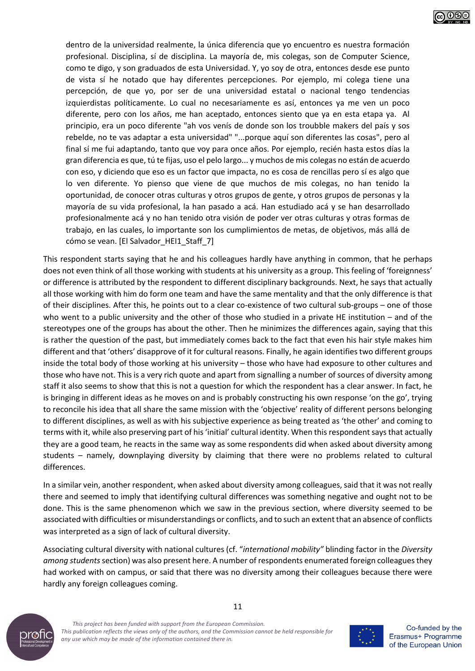

dentro de la universidad realmente, la única diferencia que yo encuentro es nuestra formación profesional. Disciplina, sí de disciplina. La mayoría de, mis colegas, son de Computer Science, como te digo, y son graduados de esta Universidad. Y, yo soy de otra, entonces desde ese punto de vista sí he notado que hay diferentes percepciones. Por ejemplo, mi colega tiene una percepción, de que yo, por ser de una universidad estatal o nacional tengo tendencias izquierdistas políticamente. Lo cual no necesariamente es así, entonces ya me ven un poco diferente, pero con los años, me han aceptado, entonces siento que ya en esta etapa ya. Al principio, era un poco diferente "ah vos venís de donde son los troubble makers del país y sos rebelde, no te vas adaptar a esta universidad" "...porque aquí son diferentes las cosas", pero al final sí me fui adaptando, tanto que voy para once años. Por ejemplo, recién hasta estos días la gran diferencia es que, tú te fijas, uso el pelo largo... y muchos de mis colegas no están de acuerdo con eso, y diciendo que eso es un factor que impacta, no es cosa de rencillas pero sí es algo que lo ven diferente. Yo pienso que viene de que muchos de mis colegas, no han tenido la oportunidad, de conocer otras culturas y otros grupos de gente, y otros grupos de personas y la mayoría de su vida profesional, la han pasado a acá. Han estudiado acá y se han desarrollado profesionalmente acá y no han tenido otra visión de poder ver otras culturas y otras formas de trabajo, en las cuales, lo importante son los cumplimientos de metas, de objetivos, más allá de cómo se vean. [El Salvador\_HEI1\_Staff\_7]

This respondent starts saying that he and his colleagues hardly have anything in common, that he perhaps does not even think of all those working with students at his university as a group. This feeling of 'foreignness' or difference is attributed by the respondent to different disciplinary backgrounds. Next, he says that actually all those working with him do form one team and have the same mentality and that the only difference is that of their disciplines. After this, he points out to a clear co-existence of two cultural sub-groups – one of those who went to a public university and the other of those who studied in a private HE institution – and of the stereotypes one of the groups has about the other. Then he minimizes the differences again, saying that this is rather the question of the past, but immediately comes back to the fact that even his hair style makes him different and that 'others' disapprove of it for cultural reasons. Finally, he again identifies two different groups inside the total body of those working at his university – those who have had exposure to other cultures and those who have not. This is a very rich quote and apart from signalling a number of sources of diversity among staff it also seems to show that this is not a question for which the respondent has a clear answer. In fact, he is bringing in different ideas as he moves on and is probably constructing his own response 'on the go', trying to reconcile his idea that all share the same mission with the 'objective' reality of different persons belonging to different disciplines, as well as with his subjective experience as being treated as 'the other' and coming to terms with it, while also preserving part of his 'initial' cultural identity. When this respondent says that actually they are a good team, he reacts in the same way as some respondents did when asked about diversity among students – namely, downplaying diversity by claiming that there were no problems related to cultural differences.

In a similar vein, another respondent, when asked about diversity among colleagues, said that it was not really there and seemed to imply that identifying cultural differences was something negative and ought not to be done. This is the same phenomenon which we saw in the previous section, where diversity seemed to be associated with difficulties or misunderstandings or conflicts, and to such an extent that an absence of conflicts was interpreted as a sign of lack of cultural diversity.

Associating cultural diversity with national cultures (cf. "*international mobility"* blinding factor in the *Diversity among students*section) was also present here. A number of respondents enumerated foreign colleagues they had worked with on campus, or said that there was no diversity among their colleagues because there were hardly any foreign colleagues coming.



*This project has been funded with support from the European Commission. This publication reflects the views only of the authors, and the Commission cannot be held responsible for any use which may be made of the information contained there in.*



Co-funded by the Erasmus+ Programme of the European Union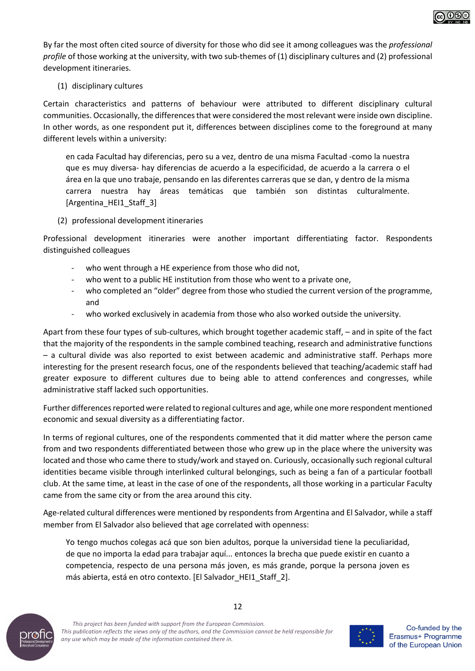

By far the most often cited source of diversity for those who did see it among colleagues was the *professional profile* of those working at the university, with two sub-themes of (1) disciplinary cultures and (2) professional development itineraries.

#### (1) disciplinary cultures

Certain characteristics and patterns of behaviour were attributed to different disciplinary cultural communities. Occasionally, the differences that were considered the most relevant were inside own discipline. In other words, as one respondent put it, differences between disciplines come to the foreground at many different levels within a university:

en cada Facultad hay diferencias, pero su a vez, dentro de una misma Facultad -como la nuestra que es muy diversa- hay diferencias de acuerdo a la especificidad, de acuerdo a la carrera o el área en la que uno trabaje, pensando en las diferentes carreras que se dan, y dentro de la misma carrera nuestra hay áreas temáticas que también son distintas culturalmente. [Argentina\_HEI1\_Staff\_3]

#### (2) professional development itineraries

Professional development itineraries were another important differentiating factor. Respondents distinguished colleagues

- who went through a HE experience from those who did not,
- who went to a public HE institution from those who went to a private one,
- who completed an "older" degree from those who studied the current version of the programme, and
- who worked exclusively in academia from those who also worked outside the university.

Apart from these four types of sub-cultures, which brought together academic staff, – and in spite of the fact that the majority of the respondents in the sample combined teaching, research and administrative functions – a cultural divide was also reported to exist between academic and administrative staff. Perhaps more interesting for the present research focus, one of the respondents believed that teaching/academic staff had greater exposure to different cultures due to being able to attend conferences and congresses, while administrative staff lacked such opportunities.

Further differences reported were related to regional cultures and age, while one more respondent mentioned economic and sexual diversity as a differentiating factor.

In terms of regional cultures, one of the respondents commented that it did matter where the person came from and two respondents differentiated between those who grew up in the place where the university was located and those who came there to study/work and stayed on. Curiously, occasionally such regional cultural identities became visible through interlinked cultural belongings, such as being a fan of a particular football club. At the same time, at least in the case of one of the respondents, all those working in a particular Faculty came from the same city or from the area around this city.

Age-related cultural differences were mentioned by respondents from Argentina and El Salvador, while a staff member from El Salvador also believed that age correlated with openness:

Yo tengo muchos colegas acá que son bien adultos, porque la universidad tiene la peculiaridad, de que no importa la edad para trabajar aquí... entonces la brecha que puede existir en cuanto a competencia, respecto de una persona más joven, es más grande, porque la persona joven es más abierta, está en otro contexto. [El Salvador\_HEI1\_Staff\_2].



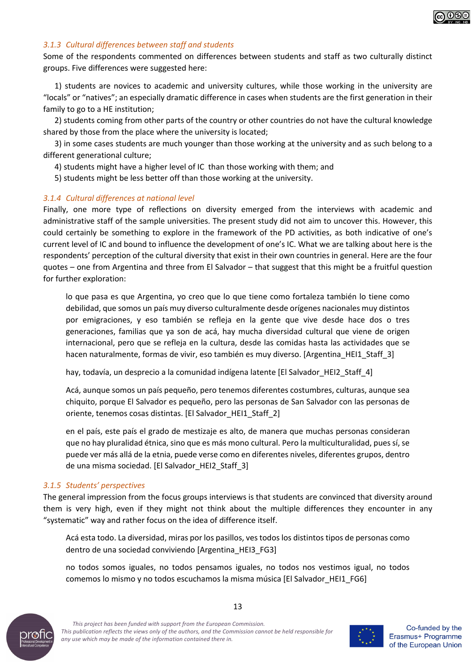

#### *3.1.3 Cultural differences between staff and students*

Some of the respondents commented on differences between students and staff as two culturally distinct groups. Five differences were suggested here:

1) students are novices to academic and university cultures, while those working in the university are "locals" or "natives"; an especially dramatic difference in cases when students are the first generation in their family to go to a HE institution;

2) students coming from other parts of the country or other countries do not have the cultural knowledge shared by those from the place where the university is located;

3) in some cases students are much younger than those working at the university and as such belong to a different generational culture;

- 4) students might have a higher level of IC than those working with them; and
- 5) students might be less better off than those working at the university.

#### *3.1.4 Cultural differences at national level*

Finally, one more type of reflections on diversity emerged from the interviews with academic and administrative staff of the sample universities. The present study did not aim to uncover this. However, this could certainly be something to explore in the framework of the PD activities, as both indicative of one's current level of IC and bound to influence the development of one's IC. What we are talking about here is the respondents' perception of the cultural diversity that exist in their own countries in general. Here are the four quotes – one from Argentina and three from El Salvador – that suggest that this might be a fruitful question for further exploration:

lo que pasa es que Argentina, yo creo que lo que tiene como fortaleza también lo tiene como debilidad, que somos un país muy diverso culturalmente desde orígenes nacionales muy distintos por emigraciones, y eso también se refleja en la gente que vive desde hace dos o tres generaciones, familias que ya son de acá, hay mucha diversidad cultural que viene de origen internacional, pero que se refleja en la cultura, desde las comidas hasta las actividades que se hacen naturalmente, formas de vivir, eso también es muy diverso. [Argentina\_HEI1\_Staff\_3]

hay, todavía, un desprecio a la comunidad indígena latente [El Salvador\_HEI2\_Staff\_4]

Acá, aunque somos un país pequeño, pero tenemos diferentes costumbres, culturas, aunque sea chiquito, porque El Salvador es pequeño, pero las personas de San Salvador con las personas de oriente, tenemos cosas distintas. [El Salvador\_HEI1\_Staff\_2]

en el país, este país el grado de mestizaje es alto, de manera que muchas personas consideran que no hay pluralidad étnica, sino que es más mono cultural. Pero la multiculturalidad, pues sí, se puede ver más allá de la etnia, puede verse como en diferentes niveles, diferentes grupos, dentro de una misma sociedad. [El Salvador\_HEI2\_Staff\_3]

#### *3.1.5 Students' perspectives*

The general impression from the focus groups interviews is that students are convinced that diversity around them is very high, even if they might not think about the multiple differences they encounter in any "systematic" way and rather focus on the idea of difference itself.

Acá esta todo. La diversidad, miras por los pasillos, ves todos los distintos tipos de personas como dentro de una sociedad conviviendo [Argentina\_HEI3\_FG3]

no todos somos iguales, no todos pensamos iguales, no todos nos vestimos igual, no todos comemos lo mismo y no todos escuchamos la misma música [El Salvador\_HEI1\_FG6]



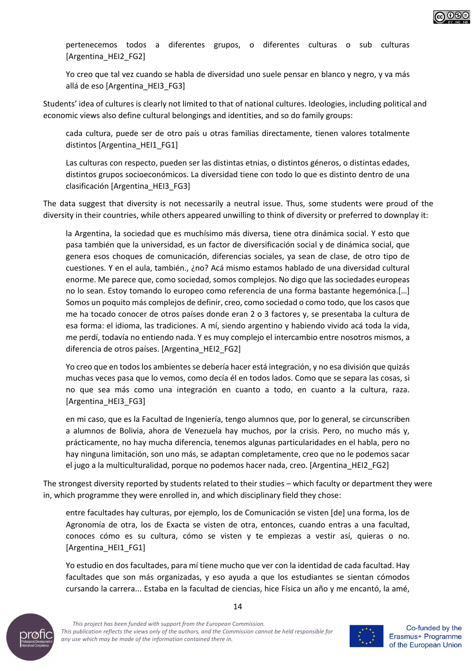

pertenecemos todos a diferentes grupos, o diferentes culturas o sub culturas [Argentina\_HEI2\_FG2]

Yo creo que tal vez cuando se habla de diversidad uno suele pensar en blanco y negro, y va más allá de eso [Argentina\_HEI3\_FG3]

Students' idea of cultures is clearly not limited to that of national cultures. Ideologies, including political and economic views also define cultural belongings and identities, and so do family groups:

cada cultura, puede ser de otro país u otras familias directamente, tienen valores totalmente distintos [Argentina\_HEI1\_FG1]

Las culturas con respecto, pueden ser las distintas etnias, o distintos géneros, o distintas edades, distintos grupos socioeconómicos. La diversidad tiene con todo lo que es distinto dentro de una clasificación [Argentina\_HEI3\_FG3]

The data suggest that diversity is not necessarily a neutral issue. Thus, some students were proud of the diversity in their countries, while others appeared unwilling to think of diversity or preferred to downplay it:

la Argentina, la sociedad que es muchísimo más diversa, tiene otra dinámica social. Y esto que pasa también que la universidad, es un factor de diversificación social y de dinámica social, que genera esos choques de comunicación, diferencias sociales, ya sean de clase, de otro tipo de cuestiones. Y en el aula, también., ¿no? Acá mismo estamos hablado de una diversidad cultural enorme. Me parece que, como sociedad, somos complejos. No digo que las sociedades europeas no lo sean. Estoy tomando lo europeo como referencia de una forma bastante hegemónica.[…] Somos un poquito más complejos de definir, creo, como sociedad o como todo, que los casos que me ha tocado conocer de otros países donde eran 2 o 3 factores y, se presentaba la cultura de esa forma: el idioma, las tradiciones. A mí, siendo argentino y habiendo vivido acá toda la vida, me perdí, todavía no entiendo nada. Y es muy complejo el intercambio entre nosotros mismos, a diferencia de otros países. [Argentina\_HEI2\_FG2]

Yo creo que en todos los ambientes se debería hacer está integración, y no esa división que quizás muchas veces pasa que lo vemos, como decía él en todos lados. Como que se separa las cosas, si no que sea más como una integración en cuanto a todo, en cuanto a la cultura, raza. [Argentina\_HEI3\_FG3]

en mi caso, que es la Facultad de Ingeniería, tengo alumnos que, por lo general, se circunscriben a alumnos de Bolivia, ahora de Venezuela hay muchos, por la crisis. Pero, no mucho más y, prácticamente, no hay mucha diferencia, tenemos algunas particularidades en el habla, pero no hay ninguna limitación, son uno más, se adaptan completamente, creo que no le podemos sacar el jugo a la multiculturalidad, porque no podemos hacer nada, creo. [Argentina\_HEI2\_FG2]

The strongest diversity reported by students related to their studies – which faculty or department they were in, which programme they were enrolled in, and which disciplinary field they chose:

entre facultades hay culturas, por ejemplo, los de Comunicación se visten [de] una forma, los de Agronomía de otra, los de Exacta se visten de otra, entonces, cuando entras a una facultad, conoces cómo es su cultura, cómo se visten y te empiezas a vestir así, quieras o no. [Argentina\_HEI1\_FG1]

Yo estudio en dos facultades, para mí tiene mucho que ver con la identidad de cada facultad. Hay facultades que son más organizadas, y eso ayuda a que los estudiantes se sientan cómodos cursando la carrera... Estaba en la facultad de ciencias, hice Física un año y me encantó, la amé,





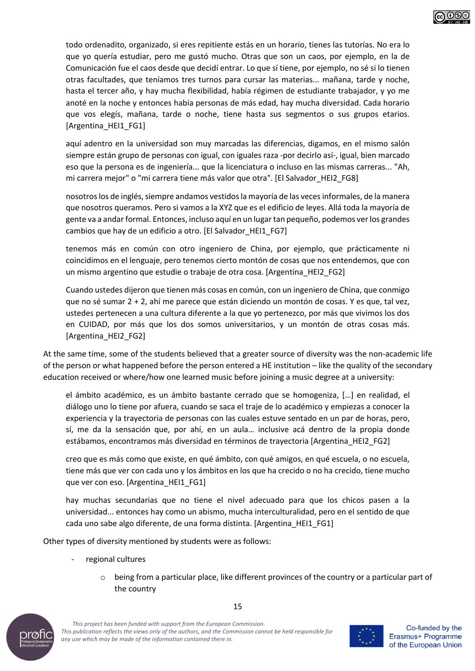

todo ordenadito, organizado, si eres repitiente estás en un horario, tienes las tutorías. No era lo que yo quería estudiar, pero me gustó mucho. Otras que son un caos, por ejemplo, en la de Comunicación fue el caos desde que decidí entrar. Lo que sí tiene, por ejemplo, no sé si lo tienen otras facultades, que teníamos tres turnos para cursar las materias... mañana, tarde y noche, hasta el tercer año, y hay mucha flexibilidad, había régimen de estudiante trabajador, y yo me anoté en la noche y entonces había personas de más edad, hay mucha diversidad. Cada horario que vos elegís, mañana, tarde o noche, tiene hasta sus segmentos o sus grupos etarios. [Argentina\_HEI1\_FG1]

aquí adentro en la universidad son muy marcadas las diferencias, digamos, en el mismo salón siempre están grupo de personas con igual, con iguales raza -por decirlo así-, igual, bien marcado eso que la persona es de ingeniería... que la licenciatura o incluso en las mismas carreras... "Ah, mi carrera mejor" o "mi carrera tiene más valor que otra". [El Salvador HEI2 FG8]

nosotros los de inglés, siempre andamos vestidos la mayoría de las veces informales, de la manera que nosotros queramos. Pero si vamos a la XYZ que es el edificio de leyes. Allá toda la mayoría de gente va a andar formal. Entonces, incluso aquí en un lugar tan pequeño, podemos ver los grandes cambios que hay de un edificio a otro. [El Salvador HEI1\_FG7]

tenemos más en común con otro ingeniero de China, por ejemplo, que prácticamente ni coincidimos en el lenguaje, pero tenemos cierto montón de cosas que nos entendemos, que con un mismo argentino que estudie o trabaje de otra cosa. [Argentina\_HEI2\_FG2]

Cuando ustedes dijeron que tienen más cosas en común, con un ingeniero de China, que conmigo que no sé sumar 2 + 2, ahí me parece que están diciendo un montón de cosas. Y es que, tal vez, ustedes pertenecen a una cultura diferente a la que yo pertenezco, por más que vivimos los dos en CUIDAD, por más que los dos somos universitarios, y un montón de otras cosas más. [Argentina\_HEI2\_FG2]

At the same time, some of the students believed that a greater source of diversity was the non-academic life of the person or what happened before the person entered a HE institution – like the quality of the secondary education received or where/how one learned music before joining a music degree at a university:

el ámbito académico, es un ámbito bastante cerrado que se homogeniza, […] en realidad, el diálogo uno lo tiene por afuera, cuando se saca el traje de lo académico y empiezas a conocer la experiencia y la trayectoria de personas con las cuales estuve sentado en un par de horas, pero, sí, me da la sensación que, por ahí, en un aula… inclusive acá dentro de la propia donde estábamos, encontramos más diversidad en términos de trayectoria [Argentina\_HEI2\_FG2]

creo que es más como que existe, en qué ámbito, con qué amigos, en qué escuela, o no escuela, tiene más que ver con cada uno y los ámbitos en los que ha crecido o no ha crecido, tiene mucho que ver con eso. [Argentina\_HEI1\_FG1]

hay muchas secundarias que no tiene el nivel adecuado para que los chicos pasen a la universidad... entonces hay como un abismo, mucha interculturalidad, pero en el sentido de que cada uno sabe algo diferente, de una forma distinta. [Argentina\_HEI1\_FG1]

Other types of diversity mentioned by students were as follows:

- regional cultures
	- $\circ$  being from a particular place, like different provinces of the country or a particular part of the country



*This project has been funded with support from the European Commission. This publication reflects the views only of the authors, and the Commission cannot be held responsible for any use which may be made of the information contained there in.*

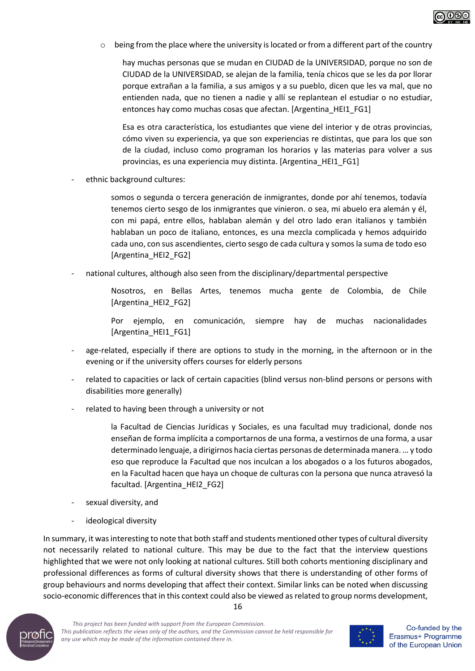

 $\circ$  being from the place where the university is located or from a different part of the country

hay muchas personas que se mudan en CIUDAD de la UNIVERSIDAD, porque no son de CIUDAD de la UNIVERSIDAD, se alejan de la familia, tenía chicos que se les da por llorar porque extrañan a la familia, a sus amigos y a su pueblo, dicen que les va mal, que no entienden nada, que no tienen a nadie y allí se replantean el estudiar o no estudiar, entonces hay como muchas cosas que afectan. [Argentina\_HEI1\_FG1]

Esa es otra característica, los estudiantes que viene del interior y de otras provincias, cómo viven su experiencia, ya que son experiencias re distintas, que para los que son de la ciudad, incluso como programan los horarios y las materias para volver a sus provincias, es una experiencia muy distinta. [Argentina\_HEI1\_FG1]

ethnic background cultures:

somos o segunda o tercera generación de inmigrantes, donde por ahí tenemos, todavía tenemos cierto sesgo de los inmigrantes que vinieron. o sea, mi abuelo era alemán y él, con mi papá, entre ellos, hablaban alemán y del otro lado eran italianos y también hablaban un poco de italiano, entonces, es una mezcla complicada y hemos adquirido cada uno, con sus ascendientes, cierto sesgo de cada cultura y somos la suma de todo eso [Argentina\_HEI2\_FG2]

national cultures, although also seen from the disciplinary/departmental perspective

Nosotros, en Bellas Artes, tenemos mucha gente de Colombia, de Chile [Argentina\_HEI2\_FG2]

Por ejemplo, en comunicación, siempre hay de muchas nacionalidades [Argentina\_HEI1\_FG1]

- age-related, especially if there are options to study in the morning, in the afternoon or in the evening or if the university offers courses for elderly persons
- related to capacities or lack of certain capacities (blind versus non-blind persons or persons with disabilities more generally)
- related to having been through a university or not

la Facultad de Ciencias Jurídicas y Sociales, es una facultad muy tradicional, donde nos enseñan de forma implícita a comportarnos de una forma, a vestirnos de una forma, a usar determinado lenguaje, a dirigirnos hacia ciertas personas de determinada manera. … y todo eso que reproduce la Facultad que nos inculcan a los abogados o a los futuros abogados, en la Facultad hacen que haya un choque de culturas con la persona que nunca atravesó la facultad. [Argentina\_HEI2\_FG2]

- sexual diversity, and
- ideological diversity

In summary, it was interesting to note that both staff and students mentioned other types of cultural diversity not necessarily related to national culture. This may be due to the fact that the interview questions highlighted that we were not only looking at national cultures. Still both cohorts mentioning disciplinary and professional differences as forms of cultural diversity shows that there is understanding of other forms of group behaviours and norms developing that affect their context. Similar links can be noted when discussing socio-economic differences that in this context could also be viewed as related to group norms development,



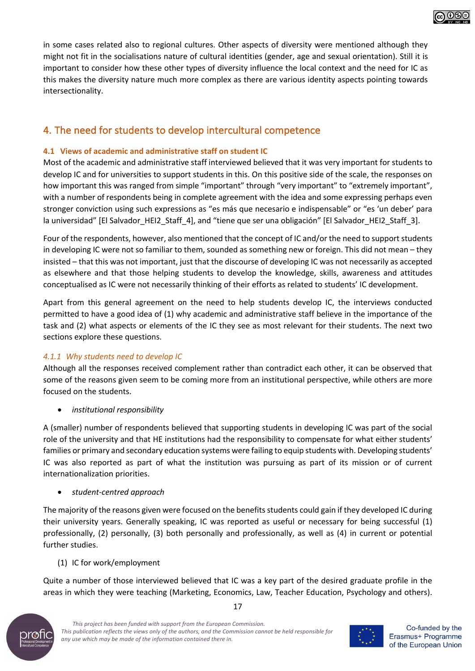

in some cases related also to regional cultures. Other aspects of diversity were mentioned although they might not fit in the socialisations nature of cultural identities (gender, age and sexual orientation). Still it is important to consider how these other types of diversity influence the local context and the need for IC as this makes the diversity nature much more complex as there are various identity aspects pointing towards intersectionality.

# 4. The need for students to develop intercultural competence

#### **4.1 Views of academic and administrative staff on student IC**

Most of the academic and administrative staff interviewed believed that it was very important for students to develop IC and for universities to support students in this. On this positive side of the scale, the responses on how important this was ranged from simple "important" through "very important" to "extremely important", with a number of respondents being in complete agreement with the idea and some expressing perhaps even stronger conviction using such expressions as "es más que necesario e indispensable" or "es 'un deber' para la universidad" [El Salvador\_HEI2\_Staff\_4], and "tiene que ser una obligación" [El Salvador\_HEI2\_Staff\_3].

Four of the respondents, however, also mentioned that the concept of IC and/or the need to support students in developing IC were not so familiar to them, sounded as something new or foreign. This did not mean – they insisted – that this was not important, just that the discourse of developing IC was not necessarily as accepted as elsewhere and that those helping students to develop the knowledge, skills, awareness and attitudes conceptualised as IC were not necessarily thinking of their efforts as related to students' IC development.

Apart from this general agreement on the need to help students develop IC, the interviews conducted permitted to have a good idea of (1) why academic and administrative staff believe in the importance of the task and (2) what aspects or elements of the IC they see as most relevant for their students. The next two sections explore these questions.

#### *4.1.1 Why students need to develop IC*

Although all the responses received complement rather than contradict each other, it can be observed that some of the reasons given seem to be coming more from an institutional perspective, while others are more focused on the students.

• *institutional responsibility*

A (smaller) number of respondents believed that supporting students in developing IC was part of the social role of the university and that HE institutions had the responsibility to compensate for what either students' families or primary and secondary education systems were failing to equip students with. Developing students' IC was also reported as part of what the institution was pursuing as part of its mission or of current internationalization priorities.

#### • *student-centred approach*

The majority of the reasons given were focused on the benefits students could gain if they developed IC during their university years. Generally speaking, IC was reported as useful or necessary for being successful (1) professionally, (2) personally, (3) both personally and professionally, as well as (4) in current or potential further studies.

## (1) IC for work/employment

Quite a number of those interviewed believed that IC was a key part of the desired graduate profile in the areas in which they were teaching (Marketing, Economics, Law, Teacher Education, Psychology and others).



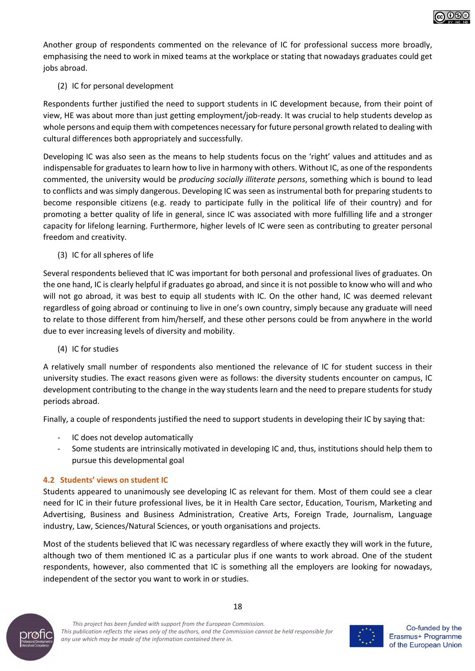

Another group of respondents commented on the relevance of IC for professional success more broadly, emphasising the need to work in mixed teams at the workplace or stating that nowadays graduates could get jobs abroad.

#### (2) IC for personal development

Respondents further justified the need to support students in IC development because, from their point of view, HE was about more than just getting employment/job-ready. It was crucial to help students develop as whole persons and equip them with competences necessary for future personal growth related to dealing with cultural differences both appropriately and successfully.

Developing IC was also seen as the means to help students focus on the 'right' values and attitudes and as indispensable for graduates to learn how to live in harmony with others. Without IC, as one of the respondents commented, the university would be *producing socially illiterate persons*, something which is bound to lead to conflicts and was simply dangerous. Developing IC was seen as instrumental both for preparing students to become responsible citizens (e.g. ready to participate fully in the political life of their country) and for promoting a better quality of life in general, since IC was associated with more fulfilling life and a stronger capacity for lifelong learning. Furthermore, higher levels of IC were seen as contributing to greater personal freedom and creativity.

(3) IC for all spheres of life

Several respondents believed that IC was important for both personal and professional lives of graduates. On the one hand, IC is clearly helpful if graduates go abroad, and since it is not possible to know who will and who will not go abroad, it was best to equip all students with IC. On the other hand, IC was deemed relevant regardless of going abroad or continuing to live in one's own country, simply because any graduate will need to relate to those different from him/herself, and these other persons could be from anywhere in the world due to ever increasing levels of diversity and mobility.

#### (4) IC for studies

A relatively small number of respondents also mentioned the relevance of IC for student success in their university studies. The exact reasons given were as follows: the diversity students encounter on campus, IC development contributing to the change in the way students learn and the need to prepare students for study periods abroad.

Finally, a couple of respondents justified the need to support students in developing their IC by saying that:

- IC does not develop automatically
- Some students are intrinsically motivated in developing IC and, thus, institutions should help them to pursue this developmental goal

#### **4.2 Students' views on student IC**

Students appeared to unanimously see developing IC as relevant for them. Most of them could see a clear need for IC in their future professional lives, be it in Health Care sector, Education, Tourism, Marketing and Advertising, Business and Business Administration, Creative Arts, Foreign Trade, Journalism, Language industry, Law, Sciences/Natural Sciences, or youth organisations and projects.

Most of the students believed that IC was necessary regardless of where exactly they will work in the future, although two of them mentioned IC as a particular plus if one wants to work abroad. One of the student respondents, however, also commented that IC is something all the employers are looking for nowadays, independent of the sector you want to work in or studies.



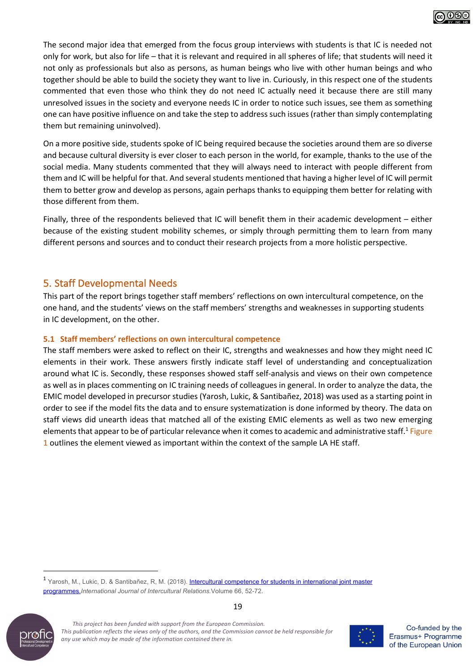

The second major idea that emerged from the focus group interviews with students is that IC is needed not only for work, but also for life – that it is relevant and required in all spheres of life; that students will need it not only as professionals but also as persons, as human beings who live with other human beings and who together should be able to build the society they want to live in. Curiously, in this respect one of the students commented that even those who think they do not need IC actually need it because there are still many unresolved issues in the society and everyone needs IC in order to notice such issues, see them as something one can have positive influence on and take the step to address such issues (rather than simply contemplating them but remaining uninvolved).

On a more positive side, students spoke of IC being required because the societies around them are so diverse and because cultural diversity is ever closer to each person in the world, for example, thanks to the use of the social media. Many students commented that they will always need to interact with people different from them and IC will be helpful for that. And several students mentioned that having a higher level of IC will permit them to better grow and develop as persons, again perhaps thanks to equipping them better for relating with those different from them.

Finally, three of the respondents believed that IC will benefit them in their academic development – either because of the existing student mobility schemes, or simply through permitting them to learn from many different persons and sources and to conduct their research projects from a more holistic perspective.

## 5. Staff Developmental Needs

This part of the report brings together staff members' reflections on own intercultural competence, on the one hand, and the students' views on the staff members' strengths and weaknesses in supporting students in IC development, on the other.

#### **5.1 Staff members' reflections on own intercultural competence**

The staff members were asked to reflect on their IC, strengths and weaknesses and how they might need IC elements in their work. These answers firstly indicate staff level of understanding and conceptualization around what IC is. Secondly, these responses showed staff self-analysis and views on their own competence as well as in places commenting on IC training needs of colleagues in general. In order to analyze the data, the EMIC model developed in precursor studies (Yarosh, Lukic, & Santibañez, 2018) was used as a starting point in order to see if the model fits the data and to ensure systematization is done informed by theory. The data on staff views did unearth ideas that matched all of the existing EMIC elements as well as two new emerging elements that appear to be of particular relevance when it comes to academic and administrative staff.1 Figure 1 outlines the element viewed as important within the context of the sample LA HE staff.

<sup>1</sup> Yarosh, M., Lukic, D. & Santibañez, R, M. (2018). Intercultural competence for students in international joint master programmes.*International Journal of Intercultural Relations.*Volume 66, 52-72.



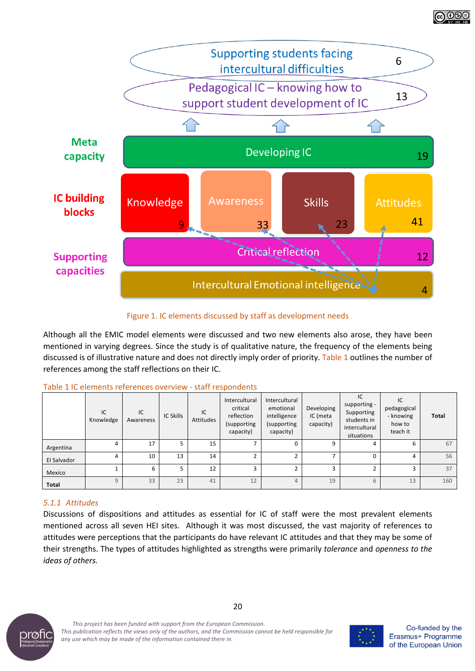

Figure 1. IC elements discussed by staff as development needs

Although all the EMIC model elements were discussed and two new elements also arose, they have been mentioned in varying degrees. Since the study is of qualitative nature, the frequency of the elements being discussed is of illustrative nature and does not directly imply order of priority. Table 1 outlines the number of references among the staff reflections on their IC.

|--|

|              | IC<br>Knowledge | IC<br>Awareness | <b>IC Skills</b> | IC<br>Attitudes | Intercultural<br>critical<br>reflection<br>(supporting<br>capacity) | Intercultural<br>emotional<br>intelligence<br>(supporting<br>capacity) | Developing<br>IC (meta<br>capacity) | IC<br>supporting -<br>Supporting<br>students in<br>intercultural<br>situations | IC<br>pedagogical<br>- knowing<br>how to<br>teach it | Total |
|--------------|-----------------|-----------------|------------------|-----------------|---------------------------------------------------------------------|------------------------------------------------------------------------|-------------------------------------|--------------------------------------------------------------------------------|------------------------------------------------------|-------|
| Argentina    | 4               | 17              |                  | 15              |                                                                     | 0                                                                      | 9                                   |                                                                                | b                                                    | 67    |
| El Salvador  | 4               | 10              | 13               | 14              |                                                                     |                                                                        |                                     |                                                                                | 4                                                    | 56    |
| Mexico       |                 | 6               |                  | 12              |                                                                     |                                                                        | 3                                   |                                                                                |                                                      | 37    |
| <b>Total</b> | $\mathsf{q}$    | 33              | 23               | 41              | 12                                                                  | 4                                                                      | 19                                  | 6                                                                              | 13                                                   | 160   |

# *5.1.1 Attitudes*

Discussions of dispositions and attitudes as essential for IC of staff were the most prevalent elements mentioned across all seven HEI sites. Although it was most discussed, the vast majority of references to attitudes were perceptions that the participants do have relevant IC attitudes and that they may be some of their strengths. The types of attitudes highlighted as strengths were primarily *tolerance* and *openness to the ideas of others.*



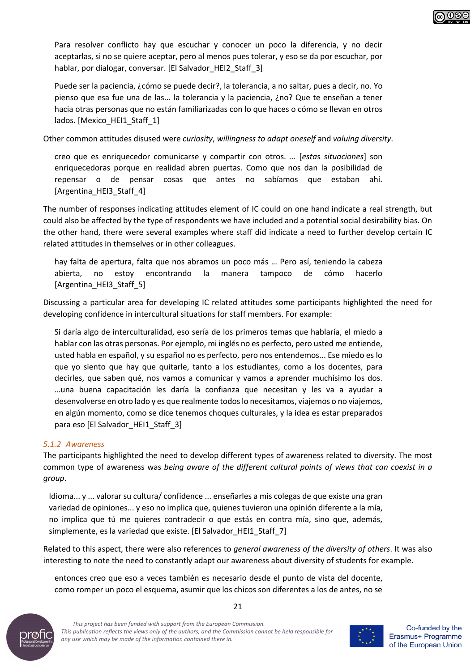

Puede ser la paciencia, ¿cómo se puede decir?, la tolerancia, a no saltar, pues a decir, no. Yo pienso que esa fue una de las... la tolerancia y la paciencia, ¿no? Que te enseñan a tener hacia otras personas que no están familiarizadas con lo que haces o cómo se llevan en otros lados. [Mexico\_HEI1\_Staff\_1]

Other common attitudes disused were *curiosity*, *willingness to adapt oneself* and *valuing diversity*.

creo que es enriquecedor comunicarse y compartir con otros. … [*estas situaciones*] son enriquecedoras porque en realidad abren puertas. Como que nos dan la posibilidad de repensar o de pensar cosas que antes no sabíamos que estaban ahí. [Argentina\_HEI3\_Staff\_4]

The number of responses indicating attitudes element of IC could on one hand indicate a real strength, but could also be affected by the type of respondents we have included and a potential social desirability bias. On the other hand, there were several examples where staff did indicate a need to further develop certain IC related attitudes in themselves or in other colleagues.

hay falta de apertura, falta que nos abramos un poco más … Pero así, teniendo la cabeza abierta, no estoy encontrando la manera tampoco de cómo hacerlo [Argentina\_HEI3\_Staff\_5]

Discussing a particular area for developing IC related attitudes some participants highlighted the need for developing confidence in intercultural situations for staff members. For example:

Si daría algo de interculturalidad, eso sería de los primeros temas que hablaría, el miedo a hablar con las otras personas. Por ejemplo, mi inglés no es perfecto, pero usted me entiende, usted habla en español, y su español no es perfecto, pero nos entendemos... Ese miedo es lo que yo siento que hay que quitarle, tanto a los estudiantes, como a los docentes, para decirles, que saben qué, nos vamos a comunicar y vamos a aprender muchísimo los dos. …una buena capacitación les daría la confianza que necesitan y les va a ayudar a desenvolverse en otro lado y es que realmente todos lo necesitamos, viajemos o no viajemos, en algún momento, como se dice tenemos choques culturales, y la idea es estar preparados para eso [El Salvador HEI1\_Staff\_3]

#### *5.1.2 Awareness*

The participants highlighted the need to develop different types of awareness related to diversity. The most common type of awareness was *being aware of the different cultural points of views that can coexist in a group*.

Idioma... y ... valorar su cultura/ confidence ... enseñarles a mis colegas de que existe una gran variedad de opiniones... y eso no implica que, quienes tuvieron una opinión diferente a la mía, no implica que tú me quieres contradecir o que estás en contra mía, sino que, además, simplemente, es la variedad que existe. [El Salvador\_HEI1\_Staff\_7]

Related to this aspect, there were also references to *general awareness of the diversity of others*. It was also interesting to note the need to constantly adapt our awareness about diversity of students for example.

21

entonces creo que eso a veces también es necesario desde el punto de vista del docente, como romper un poco el esquema, asumir que los chicos son diferentes a los de antes, no se



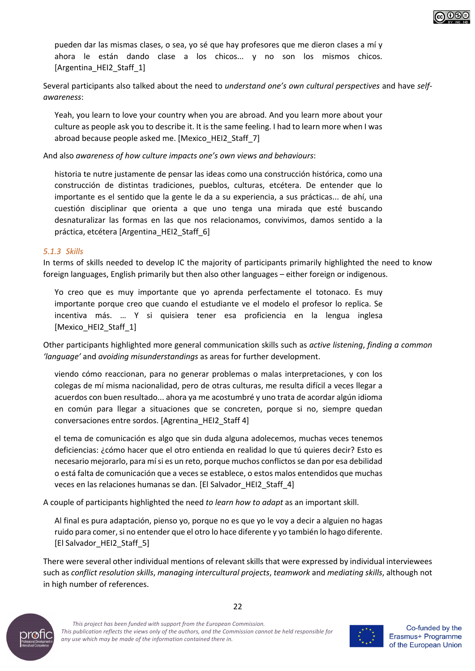

pueden dar las mismas clases, o sea, yo sé que hay profesores que me dieron clases a mí y ahora le están dando clase a los chicos... y no son los mismos chicos. [Argentina\_HEI2\_Staff\_1]

Several participants also talked about the need to *understand one's own cultural perspectives* and have *selfawareness*:

Yeah, you learn to love your country when you are abroad. And you learn more about your culture as people ask you to describe it. It is the same feeling. I had to learn more when I was abroad because people asked me. [Mexico\_HEI2\_Staff\_7]

And also *awareness of how culture impacts one's own views and behaviours*:

historia te nutre justamente de pensar las ideas como una construcción histórica, como una construcción de distintas tradiciones, pueblos, culturas, etcétera. De entender que lo importante es el sentido que la gente le da a su experiencia, a sus prácticas... de ahí, una cuestión disciplinar que orienta a que uno tenga una mirada que esté buscando desnaturalizar las formas en las que nos relacionamos, convivimos, damos sentido a la práctica, etcétera [Argentina\_HEI2\_Staff\_6]

#### *5.1.3 Skills*

In terms of skills needed to develop IC the majority of participants primarily highlighted the need to know foreign languages, English primarily but then also other languages – either foreign or indigenous.

Yo creo que es muy importante que yo aprenda perfectamente el totonaco. Es muy importante porque creo que cuando el estudiante ve el modelo el profesor lo replica. Se incentiva más. … Y si quisiera tener esa proficiencia en la lengua inglesa [Mexico\_HEI2\_Staff\_1]

Other participants highlighted more general communication skills such as *active listening*, *finding a common 'language'* and *avoiding misunderstandings* as areas for further development.

viendo cómo reaccionan, para no generar problemas o malas interpretaciones, y con los colegas de mí misma nacionalidad, pero de otras culturas, me resulta difícil a veces llegar a acuerdos con buen resultado... ahora ya me acostumbré y uno trata de acordar algún idioma en común para llegar a situaciones que se concreten, porque si no, siempre quedan conversaciones entre sordos. [Agrentina\_HEI2\_Staff 4]

el tema de comunicación es algo que sin duda alguna adolecemos, muchas veces tenemos deficiencias: ¿cómo hacer que el otro entienda en realidad lo que tú quieres decir? Esto es necesario mejorarlo, para mí si es un reto, porque muchos conflictos se dan por esa debilidad o está falta de comunicación que a veces se establece, o estos malos entendidos que muchas veces en las relaciones humanas se dan. [El Salvador\_HEI2\_Staff\_4]

A couple of participants highlighted the need *to learn how to adapt* as an important skill.

Al final es pura adaptación, pienso yo, porque no es que yo le voy a decir a alguien no hagas ruido para comer, si no entender que el otro lo hace diferente y yo también lo hago diferente. [El Salvador\_HEI2\_Staff\_5]

There were several other individual mentions of relevant skills that were expressed by individual interviewees such as *conflict resolution skills*, *managing intercultural projects*, *teamwork* and *mediating skills*, although not in high number of references.



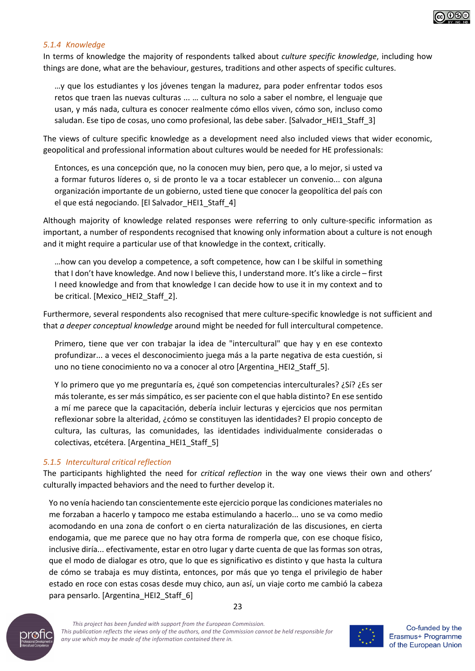

#### *5.1.4 Knowledge*

In terms of knowledge the majority of respondents talked about *culture specific knowledge*, including how things are done, what are the behaviour, gestures, traditions and other aspects of specific cultures.

…y que los estudiantes y los jóvenes tengan la madurez, para poder enfrentar todos esos retos que traen las nuevas culturas ... … cultura no solo a saber el nombre, el lenguaje que usan, y más nada, cultura es conocer realmente cómo ellos viven, cómo son, incluso como saludan. Ese tipo de cosas, uno como profesional, las debe saber. [Salvador HEI1 Staff 3]

The views of culture specific knowledge as a development need also included views that wider economic, geopolitical and professional information about cultures would be needed for HE professionals:

Entonces, es una concepción que, no la conocen muy bien, pero que, a lo mejor, si usted va a formar futuros líderes o, si de pronto le va a tocar establecer un convenio... con alguna organización importante de un gobierno, usted tiene que conocer la geopolítica del país con el que está negociando. [El Salvador\_HEI1\_Staff\_4]

Although majority of knowledge related responses were referring to only culture-specific information as important, a number of respondents recognised that knowing only information about a culture is not enough and it might require a particular use of that knowledge in the context, critically.

…how can you develop a competence, a soft competence, how can I be skilful in something that I don't have knowledge. And now I believe this, I understand more. It's like a circle – first I need knowledge and from that knowledge I can decide how to use it in my context and to be critical. [Mexico\_HEI2\_Staff\_2].

Furthermore, several respondents also recognised that mere culture-specific knowledge is not sufficient and that *a deeper conceptual knowledge* around might be needed for full intercultural competence.

Primero, tiene que ver con trabajar la idea de "intercultural" que hay y en ese contexto profundizar... a veces el desconocimiento juega más a la parte negativa de esta cuestión, si uno no tiene conocimiento no va a conocer al otro [Argentina\_HEI2\_Staff\_5].

Y lo primero que yo me preguntaría es, ¿qué son competencias interculturales? ¿Sí? ¿Es ser más tolerante, es ser más simpático, es ser paciente con el que habla distinto? En ese sentido a mí me parece que la capacitación, debería incluir lecturas y ejercicios que nos permitan reflexionar sobre la alteridad, ¿cómo se constituyen las identidades? El propio concepto de cultura, las culturas, las comunidades, las identidades individualmente consideradas o colectivas, etcétera. [Argentina\_HEI1\_Staff\_5]

#### *5.1.5 Intercultural critical reflection*

The participants highlighted the need for *critical reflection* in the way one views their own and others' culturally impacted behaviors and the need to further develop it.

Yo no venía haciendo tan conscientemente este ejercicio porque las condiciones materiales no me forzaban a hacerlo y tampoco me estaba estimulando a hacerlo... uno se va como medio acomodando en una zona de confort o en cierta naturalización de las discusiones, en cierta endogamia, que me parece que no hay otra forma de romperla que, con ese choque físico, inclusive diría... efectivamente, estar en otro lugar y darte cuenta de que las formas son otras, que el modo de dialogar es otro, que lo que es significativo es distinto y que hasta la cultura de cómo se trabaja es muy distinta, entonces, por más que yo tenga el privilegio de haber estado en roce con estas cosas desde muy chico, aun así, un viaje corto me cambió la cabeza para pensarlo. [Argentina\_HEI2\_Staff\_6]



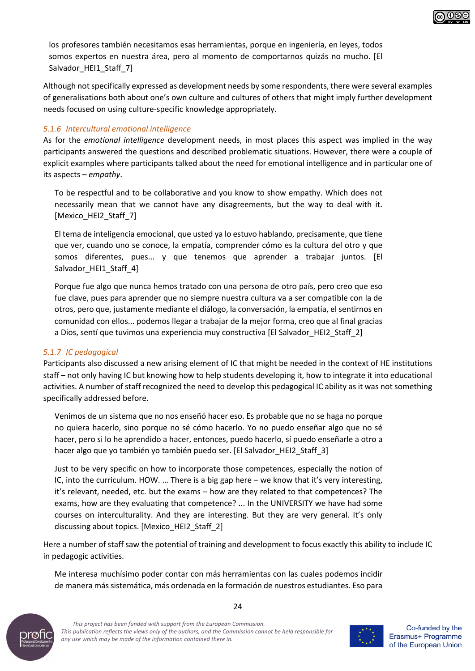

Although not specifically expressed as development needs by some respondents, there were several examples of generalisations both about one's own culture and cultures of others that might imply further development needs focused on using culture-specific knowledge appropriately.

#### *5.1.6 Intercultural emotional intelligence*

As for the *emotional intelligence* development needs, in most places this aspect was implied in the way participants answered the questions and described problematic situations. However, there were a couple of explicit examples where participants talked about the need for emotional intelligence and in particular one of its aspects – *empathy*.

To be respectful and to be collaborative and you know to show empathy. Which does not necessarily mean that we cannot have any disagreements, but the way to deal with it. [Mexico\_HEI2\_Staff\_7]

El tema de inteligencia emocional, que usted ya lo estuvo hablando, precisamente, que tiene que ver, cuando uno se conoce, la empatía, comprender cómo es la cultura del otro y que somos diferentes, pues... y que tenemos que aprender a trabajar juntos. [El Salvador HEI1 Staff 4]

Porque fue algo que nunca hemos tratado con una persona de otro país, pero creo que eso fue clave, pues para aprender que no siempre nuestra cultura va a ser compatible con la de otros, pero que, justamente mediante el diálogo, la conversación, la empatía, el sentirnos en comunidad con ellos... podemos llegar a trabajar de la mejor forma, creo que al final gracias a Dios, sentí que tuvimos una experiencia muy constructiva [El Salvador\_HEI2\_Staff\_2]

#### *5.1.7 IC pedagogical*

Participants also discussed a new arising element of IC that might be needed in the context of HE institutions staff – not only having IC but knowing how to help students developing it, how to integrate it into educational activities. A number of staff recognized the need to develop this pedagogical IC ability as it was not something specifically addressed before.

Venimos de un sistema que no nos enseñó hacer eso. Es probable que no se haga no porque no quiera hacerlo, sino porque no sé cómo hacerlo. Yo no puedo enseñar algo que no sé hacer, pero si lo he aprendido a hacer, entonces, puedo hacerlo, sí puedo enseñarle a otro a hacer algo que yo también yo también puedo ser. [El Salvador HEI2 Staff 3]

Just to be very specific on how to incorporate those competences, especially the notion of IC, into the curriculum. HOW. … There is a big gap here – we know that it's very interesting, it's relevant, needed, etc. but the exams – how are they related to that competences? The exams, how are they evaluating that competence? ... In the UNIVERSITY we have had some courses on interculturality. And they are interesting. But they are very general. It's only discussing about topics. [Mexico\_HEI2\_Staff\_2]

Here a number of staff saw the potential of training and development to focus exactly this ability to include IC in pedagogic activities.

Me interesa muchísimo poder contar con más herramientas con las cuales podemos incidir de manera más sistemática, más ordenada en la formación de nuestros estudiantes. Eso para



*This project has been funded with support from the European Commission. This publication reflects the views only of the authors, and the Commission cannot be held responsible for any use which may be made of the information contained there in.*



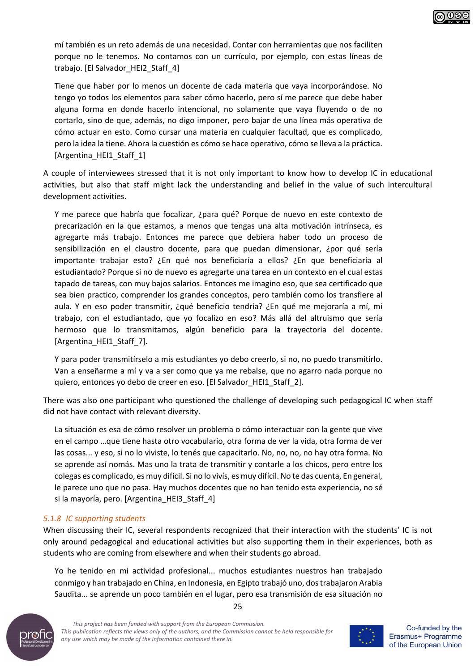

Tiene que haber por lo menos un docente de cada materia que vaya incorporándose. No tengo yo todos los elementos para saber cómo hacerlo, pero sí me parece que debe haber alguna forma en donde hacerlo intencional, no solamente que vaya fluyendo o de no cortarlo, sino de que, además, no digo imponer, pero bajar de una línea más operativa de cómo actuar en esto. Como cursar una materia en cualquier facultad, que es complicado, pero la idea la tiene. Ahora la cuestión es cómo se hace operativo, cómo se lleva a la práctica. [Argentina HEI1 Staff 1]

A couple of interviewees stressed that it is not only important to know how to develop IC in educational activities, but also that staff might lack the understanding and belief in the value of such intercultural development activities.

Y me parece que habría que focalizar, ¿para qué? Porque de nuevo en este contexto de precarización en la que estamos, a menos que tengas una alta motivación intrínseca, es agregarte más trabajo. Entonces me parece que debiera haber todo un proceso de sensibilización en el claustro docente, para que puedan dimensionar, ¿por qué sería importante trabajar esto? ¿En qué nos beneficiaría a ellos? ¿En que beneficiaría al estudiantado? Porque si no de nuevo es agregarte una tarea en un contexto en el cual estas tapado de tareas, con muy bajos salarios. Entonces me imagino eso, que sea certificado que sea bien practico, comprender los grandes conceptos, pero también como los transfiere al aula. Y en eso poder transmitir, ¿qué beneficio tendría? ¿En qué me mejoraría a mí, mi trabajo, con el estudiantado, que yo focalizo en eso? Más allá del altruismo que sería hermoso que lo transmitamos, algún beneficio para la trayectoria del docente. [Argentina\_HEI1\_Staff\_7].

Y para poder transmitírselo a mis estudiantes yo debo creerlo, si no, no puedo transmitirlo. Van a enseñarme a mí y va a ser como que ya me rebalse, que no agarro nada porque no quiero, entonces yo debo de creer en eso. [El Salvador\_HEI1\_Staff\_2].

There was also one participant who questioned the challenge of developing such pedagogical IC when staff did not have contact with relevant diversity.

La situación es esa de cómo resolver un problema o cómo interactuar con la gente que vive en el campo …que tiene hasta otro vocabulario, otra forma de ver la vida, otra forma de ver las cosas... y eso, si no lo viviste, lo tenés que capacitarlo. No, no, no, no hay otra forma. No se aprende así nomás. Mas uno la trata de transmitir y contarle a los chicos, pero entre los colegas es complicado, es muy difícil. Si no lo vivís, es muy difícil. No te das cuenta, En general, le parece uno que no pasa. Hay muchos docentes que no han tenido esta experiencia, no sé si la mayoría, pero. [Argentina\_HEI3\_Staff\_4]

#### *5.1.8 IC supporting students*

When discussing their IC, several respondents recognized that their interaction with the students' IC is not only around pedagogical and educational activities but also supporting them in their experiences, both as students who are coming from elsewhere and when their students go abroad.

25

Yo he tenido en mi actividad profesional... muchos estudiantes nuestros han trabajado conmigo y han trabajado en China, en Indonesia, en Egipto trabajó uno, dos trabajaron Arabia Saudita... se aprende un poco también en el lugar, pero esa transmisión de esa situación no



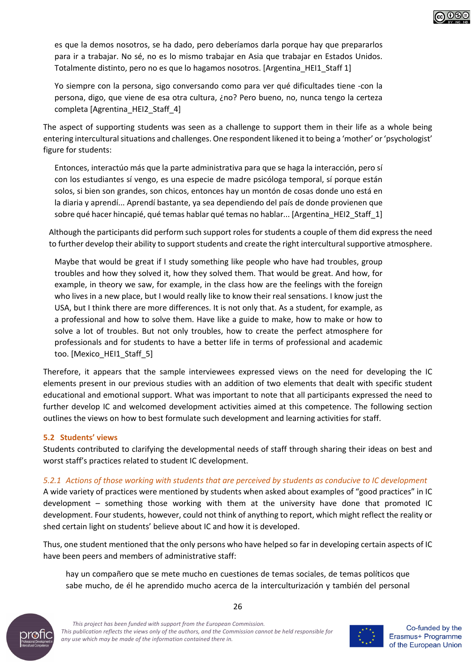

es que la demos nosotros, se ha dado, pero deberíamos darla porque hay que prepararlos para ir a trabajar. No sé, no es lo mismo trabajar en Asia que trabajar en Estados Unidos. Totalmente distinto, pero no es que lo hagamos nosotros. [Argentina\_HEI1\_Staff 1]

Yo siempre con la persona, sigo conversando como para ver qué dificultades tiene -con la persona, digo, que viene de esa otra cultura, ¿no? Pero bueno, no, nunca tengo la certeza completa [Agrentina\_HEI2\_Staff\_4]

The aspect of supporting students was seen as a challenge to support them in their life as a whole being entering intercultural situations and challenges. One respondent likened it to being a 'mother' or 'psychologist' figure for students:

Entonces, interactúo más que la parte administrativa para que se haga la interacción, pero sí con los estudiantes sí vengo, es una especie de madre psicóloga temporal, sí porque están solos, si bien son grandes, son chicos, entonces hay un montón de cosas donde uno está en la diaria y aprendí... Aprendí bastante, ya sea dependiendo del país de donde provienen que sobre qué hacer hincapié, qué temas hablar qué temas no hablar... [Argentina\_HEI2\_Staff\_1]

Although the participants did perform such support roles for students a couple of them did express the need to further develop their ability to support students and create the right intercultural supportive atmosphere.

Maybe that would be great if I study something like people who have had troubles, group troubles and how they solved it, how they solved them. That would be great. And how, for example, in theory we saw, for example, in the class how are the feelings with the foreign who lives in a new place, but I would really like to know their real sensations. I know just the USA, but I think there are more differences. It is not only that. As a student, for example, as a professional and how to solve them. Have like a guide to make, how to make or how to solve a lot of troubles. But not only troubles, how to create the perfect atmosphere for professionals and for students to have a better life in terms of professional and academic too. [Mexico HEI1 Staff 5]

Therefore, it appears that the sample interviewees expressed views on the need for developing the IC elements present in our previous studies with an addition of two elements that dealt with specific student educational and emotional support. What was important to note that all participants expressed the need to further develop IC and welcomed development activities aimed at this competence. The following section outlines the views on how to best formulate such development and learning activities for staff.

#### **5.2 Students' views**

Students contributed to clarifying the developmental needs of staff through sharing their ideas on best and worst staff's practices related to student IC development.

#### *5.2.1 Actions of those working with students that are perceived by students as conducive to IC development*

A wide variety of practices were mentioned by students when asked about examples of "good practices" in IC development – something those working with them at the university have done that promoted IC development. Four students, however, could not think of anything to report, which might reflect the reality or shed certain light on students' believe about IC and how it is developed.

Thus, one student mentioned that the only persons who have helped so far in developing certain aspects of IC have been peers and members of administrative staff:

hay un compañero que se mete mucho en cuestiones de temas sociales, de temas políticos que sabe mucho, de él he aprendido mucho acerca de la interculturización y también del personal



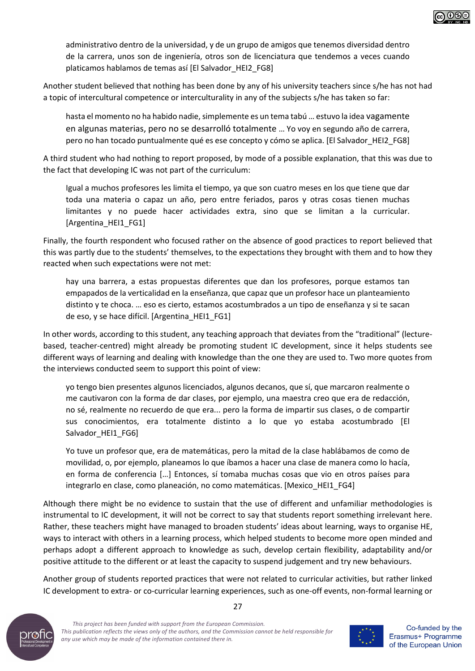

administrativo dentro de la universidad, y de un grupo de amigos que tenemos diversidad dentro de la carrera, unos son de ingeniería, otros son de licenciatura que tendemos a veces cuando platicamos hablamos de temas así [El Salvador\_HEI2\_FG8]

Another student believed that nothing has been done by any of his university teachers since s/he has not had a topic of intercultural competence or interculturality in any of the subjects s/he has taken so far:

hasta el momento no ha habido nadie, simplemente es un tema tabú … estuvo la idea vagamente en algunas materias, pero no se desarrolló totalmente … Yo voy en segundo año de carrera, pero no han tocado puntualmente qué es ese concepto y cómo se aplica. [El Salvador\_HEI2\_FG8]

A third student who had nothing to report proposed, by mode of a possible explanation, that this was due to the fact that developing IC was not part of the curriculum:

Igual a muchos profesores les limita el tiempo, ya que son cuatro meses en los que tiene que dar toda una materia o capaz un año, pero entre feriados, paros y otras cosas tienen muchas limitantes y no puede hacer actividades extra, sino que se limitan a la curricular. [Argentina HEI1 FG1]

Finally, the fourth respondent who focused rather on the absence of good practices to report believed that this was partly due to the students' themselves, to the expectations they brought with them and to how they reacted when such expectations were not met:

hay una barrera, a estas propuestas diferentes que dan los profesores, porque estamos tan empapados de la verticalidad en la enseñanza, que capaz que un profesor hace un planteamiento distinto y te choca. … eso es cierto, estamos acostumbrados a un tipo de enseñanza y si te sacan de eso, y se hace difícil. [Argentina\_HEI1\_FG1]

In other words, according to this student, any teaching approach that deviates from the "traditional" (lecturebased, teacher-centred) might already be promoting student IC development, since it helps students see different ways of learning and dealing with knowledge than the one they are used to. Two more quotes from the interviews conducted seem to support this point of view:

yo tengo bien presentes algunos licenciados, algunos decanos, que sí, que marcaron realmente o me cautivaron con la forma de dar clases, por ejemplo, una maestra creo que era de redacción, no sé, realmente no recuerdo de que era... pero la forma de impartir sus clases, o de compartir sus conocimientos, era totalmente distinto a lo que yo estaba acostumbrado [El Salvador HEI1 FG6]

Yo tuve un profesor que, era de matemáticas, pero la mitad de la clase hablábamos de como de movilidad, o, por ejemplo, planeamos lo que íbamos a hacer una clase de manera como lo hacía, en forma de conferencia […] Entonces, sí tomaba muchas cosas que vio en otros países para integrarlo en clase, como planeación, no como matemáticas. [Mexico\_HEI1\_FG4]

Although there might be no evidence to sustain that the use of different and unfamiliar methodologies is instrumental to IC development, it will not be correct to say that students report something irrelevant here. Rather, these teachers might have managed to broaden students' ideas about learning, ways to organise HE, ways to interact with others in a learning process, which helped students to become more open minded and perhaps adopt a different approach to knowledge as such, develop certain flexibility, adaptability and/or positive attitude to the different or at least the capacity to suspend judgement and try new behaviours.

Another group of students reported practices that were not related to curricular activities, but rather linked IC development to extra- or co-curricular learning experiences, such as one-off events, non-formal learning or



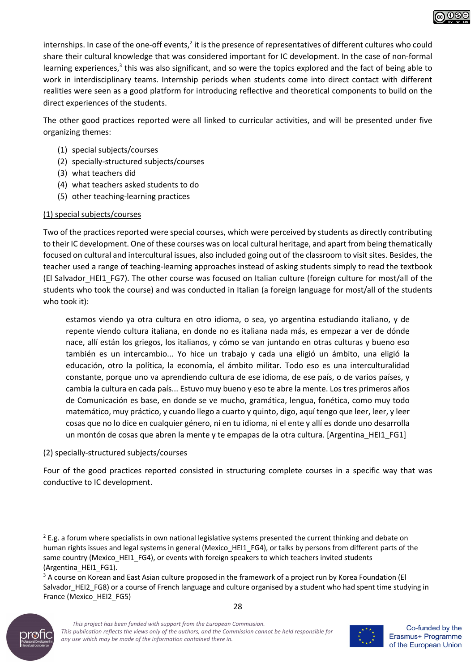

The other good practices reported were all linked to curricular activities, and will be presented under five organizing themes:

- (1) special subjects/courses
- (2) specially-structured subjects/courses
- (3) what teachers did
- (4) what teachers asked students to do
- (5) other teaching-learning practices

#### (1) special subjects/courses

Two of the practices reported were special courses, which were perceived by students as directly contributing to their IC development. One of these courses was on local cultural heritage, and apart from being thematically focused on cultural and intercultural issues, also included going out of the classroom to visit sites. Besides, the teacher used a range of teaching-learning approaches instead of asking students simply to read the textbook (El Salvador\_HEI1\_FG7). The other course was focused on Italian culture (foreign culture for most/all of the students who took the course) and was conducted in Italian (a foreign language for most/all of the students who took it):

estamos viendo ya otra cultura en otro idioma, o sea, yo argentina estudiando italiano, y de repente viendo cultura italiana, en donde no es italiana nada más, es empezar a ver de dónde nace, allí están los griegos, los italianos, y cómo se van juntando en otras culturas y bueno eso también es un intercambio... Yo hice un trabajo y cada una eligió un ámbito, una eligió la educación, otro la política, la economía, el ámbito militar. Todo eso es una interculturalidad constante, porque uno va aprendiendo cultura de ese idioma, de ese país, o de varios países, y cambia la cultura en cada país... Estuvo muy bueno y eso te abre la mente. Los tres primeros años de Comunicación es base, en donde se ve mucho, gramática, lengua, fonética, como muy todo matemático, muy práctico, y cuando llego a cuarto y quinto, digo, aquí tengo que leer, leer, y leer cosas que no lo dice en cualquier género, ni en tu idioma, ni el ente y allí es donde uno desarrolla un montón de cosas que abren la mente y te empapas de la otra cultura. [Argentina\_HEI1\_FG1]

#### (2) specially-structured subjects/courses

Four of the good practices reported consisted in structuring complete courses in a specific way that was conductive to IC development.

<sup>28</sup> <sup>3</sup> A course on Korean and East Asian culture proposed in the framework of a project run by Korea Foundation (El Salvador\_HEI2\_FG8) or a course of French language and culture organised by a student who had spent time studying in France (Mexico\_HEI2\_FG5)





<sup>&</sup>lt;sup>2</sup> E.g. a forum where specialists in own national legislative systems presented the current thinking and debate on human rights issues and legal systems in general (Mexico HEI1\_FG4), or talks by persons from different parts of the same country (Mexico\_HEI1\_FG4), or events with foreign speakers to which teachers invited students (Argentina\_HEI1\_FG1).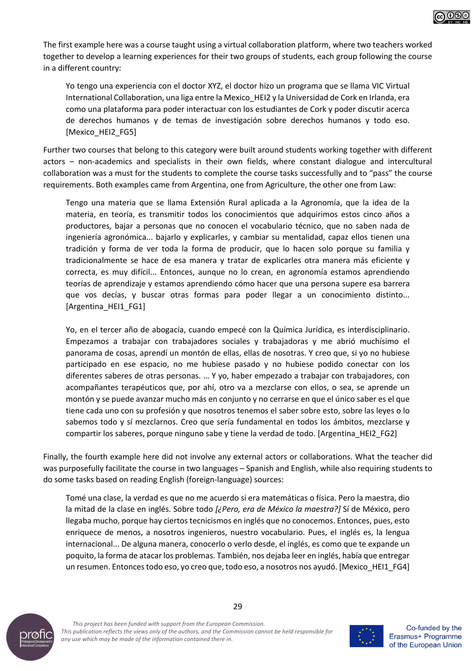

The first example here was a course taught using a virtual collaboration platform, where two teachers worked together to develop a learning experiences for their two groups of students, each group following the course in a different country:

Yo tengo una experiencia con el doctor XYZ, el doctor hizo un programa que se llama VIC Virtual International Collaboration, una liga entre la Mexico\_HEI2 y la Universidad de Cork en Irlanda, era como una plataforma para poder interactuar con los estudiantes de Cork y poder discutir acerca de derechos humanos y de temas de investigación sobre derechos humanos y todo eso. [Mexico\_HEI2\_FG5]

Further two courses that belong to this category were built around students working together with different actors – non-academics and specialists in their own fields, where constant dialogue and intercultural collaboration was a must for the students to complete the course tasks successfully and to "pass" the course requirements. Both examples came from Argentina, one from Agriculture, the other one from Law:

Tengo una materia que se llama Extensión Rural aplicada a la Agronomía, que la idea de la materia, en teoría, es transmitir todos los conocimientos que adquirimos estos cinco años a productores, bajar a personas que no conocen el vocabulario técnico, que no saben nada de ingeniería agronómica... bajarlo y explicarles, y cambiar su mentalidad, capaz ellos tienen una tradición y forma de ver toda la forma de producir, que lo hacen solo porque su familia y tradicionalmente se hace de esa manera y tratar de explicarles otra manera más eficiente y correcta, es muy difícil... Entonces, aunque no lo crean, en agronomía estamos aprendiendo teorías de aprendizaje y estamos aprendiendo cómo hacer que una persona supere esa barrera que vos decías, y buscar otras formas para poder llegar a un conocimiento distinto... [Argentina\_HEI1\_FG1]

Yo, en el tercer año de abogacía, cuando empecé con la Química Jurídica, es interdisciplinario. Empezamos a trabajar con trabajadores sociales y trabajadoras y me abrió muchísimo el panorama de cosas, aprendí un montón de ellas, ellas de nosotras. Y creo que, si yo no hubiese participado en ese espacio, no me hubiese pasado y no hubiese podido conectar con los diferentes saberes de otras personas. … Y yo, haber empezado a trabajar con trabajadores, con acompañantes terapéuticos que, por ahí, otro va a mezclarse con ellos, o sea, se aprende un montón y se puede avanzar mucho más en conjunto y no cerrarse en que el único saber es el que tiene cada uno con su profesión y que nosotros tenemos el saber sobre esto, sobre las leyes o lo sabemos todo y sí mezclarnos. Creo que sería fundamental en todos los ámbitos, mezclarse y compartir los saberes, porque ninguno sabe y tiene la verdad de todo. [Argentina\_HEI2\_FG2]

Finally, the fourth example here did not involve any external actors or collaborations. What the teacher did was purposefully facilitate the course in two languages – Spanish and English, while also requiring students to do some tasks based on reading English (foreign-language) sources:

Tomé una clase, la verdad es que no me acuerdo si era matemáticas o física. Pero la maestra, dio la mitad de la clase en inglés. Sobre todo *[¿Pero, era de México la maestra?]* Sí de México, pero llegaba mucho, porque hay ciertos tecnicismos en inglés que no conocemos. Entonces, pues, esto enriquece de menos, a nosotros ingenieros, nuestro vocabulario. Pues, el inglés es, la lengua internacional... De alguna manera, conocerlo o verlo desde, el inglés, es como que te expande un poquito, la forma de atacar los problemas. También, nos dejaba leer en inglés, había que entregar un resumen. Entonces todo eso, yo creo que, todo eso, a nosotros nos ayudó. [Mexico\_HEI1\_FG4]



*This project has been funded with support from the European Commission. This publication reflects the views only of the authors, and the Commission cannot be held responsible for any use which may be made of the information contained there in.*

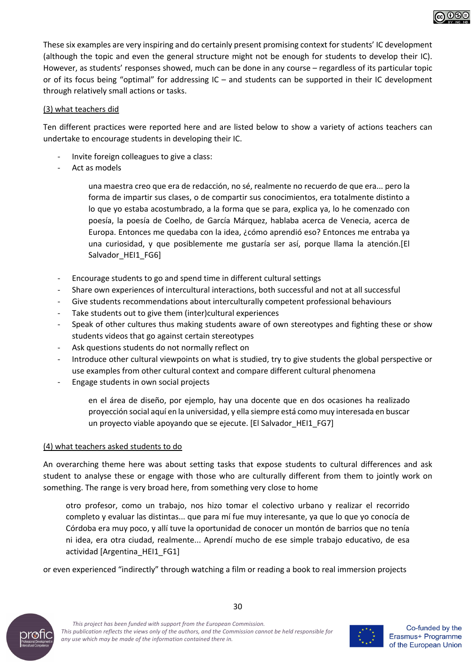These six examples are very inspiring and do certainly present promising context for students' IC development (although the topic and even the general structure might not be enough for students to develop their IC). However, as students' responses showed, much can be done in any course – regardless of its particular topic or of its focus being "optimal" for addressing IC – and students can be supported in their IC development through relatively small actions or tasks.

#### (3) what teachers did

Ten different practices were reported here and are listed below to show a variety of actions teachers can undertake to encourage students in developing their IC.

- Invite foreign colleagues to give a class:
- Act as models

una maestra creo que era de redacción, no sé, realmente no recuerdo de que era... pero la forma de impartir sus clases, o de compartir sus conocimientos, era totalmente distinto a lo que yo estaba acostumbrado, a la forma que se para, explica ya, lo he comenzado con poesía, la poesía de Coelho, de García Márquez, hablaba acerca de Venecia, acerca de Europa. Entonces me quedaba con la idea, ¿cómo aprendió eso? Entonces me entraba ya una curiosidad, y que posiblemente me gustaría ser así, porque llama la atención.[El Salvador\_HEI1\_FG6]

- Encourage students to go and spend time in different cultural settings
- Share own experiences of intercultural interactions, both successful and not at all successful
- Give students recommendations about interculturally competent professional behaviours
- Take students out to give them (inter)cultural experiences
- Speak of other cultures thus making students aware of own stereotypes and fighting these or show students videos that go against certain stereotypes
- Ask questions students do not normally reflect on
- Introduce other cultural viewpoints on what is studied, try to give students the global perspective or use examples from other cultural context and compare different cultural phenomena
- Engage students in own social projects

en el área de diseño, por ejemplo, hay una docente que en dos ocasiones ha realizado proyección social aquí en la universidad, y ella siempre está como muy interesada en buscar un proyecto viable apoyando que se ejecute. [El Salvador HEI1\_FG7]

#### (4) what teachers asked students to do

An overarching theme here was about setting tasks that expose students to cultural differences and ask student to analyse these or engage with those who are culturally different from them to jointly work on something. The range is very broad here, from something very close to home

otro profesor, como un trabajo, nos hizo tomar el colectivo urbano y realizar el recorrido completo y evaluar las distintas... que para mí fue muy interesante, ya que lo que yo conocía de Córdoba era muy poco, y allí tuve la oportunidad de conocer un montón de barrios que no tenía ni idea, era otra ciudad, realmente... Aprendí mucho de ese simple trabajo educativo, de esa actividad [Argentina\_HEI1\_FG1]

30

or even experienced "indirectly" through watching a film or reading a book to real immersion projects



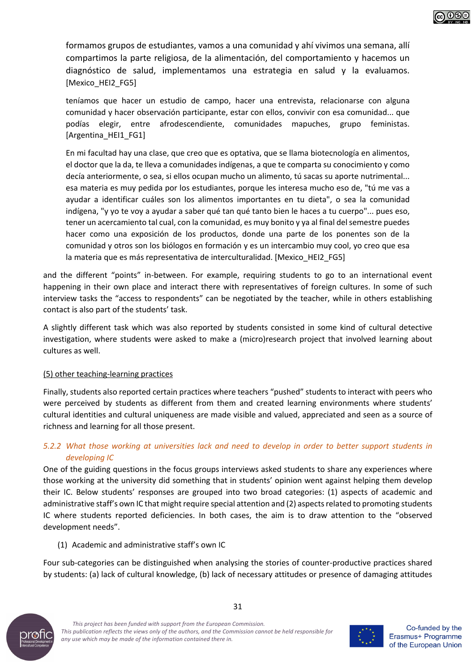formamos grupos de estudiantes, vamos a una comunidad y ahí vivimos una semana, allí compartimos la parte religiosa, de la alimentación, del comportamiento y hacemos un diagnóstico de salud, implementamos una estrategia en salud y la evaluamos. [Mexico\_HEI2\_FG5]

teníamos que hacer un estudio de campo, hacer una entrevista, relacionarse con alguna comunidad y hacer observación participante, estar con ellos, convivir con esa comunidad... que podías elegir, entre afrodescendiente, comunidades mapuches, grupo feministas. [Argentina\_HEI1\_FG1]

En mi facultad hay una clase, que creo que es optativa, que se llama biotecnología en alimentos, el doctor que la da, te lleva a comunidades indígenas, a que te comparta su conocimiento y como decía anteriormente, o sea, si ellos ocupan mucho un alimento, tú sacas su aporte nutrimental... esa materia es muy pedida por los estudiantes, porque les interesa mucho eso de, "tú me vas a ayudar a identificar cuáles son los alimentos importantes en tu dieta", o sea la comunidad indígena, "y yo te voy a ayudar a saber qué tan qué tanto bien le haces a tu cuerpo"... pues eso, tener un acercamiento tal cual, con la comunidad, es muy bonito y ya al final delsemestre puedes hacer como una exposición de los productos, donde una parte de los ponentes son de la comunidad y otros son los biólogos en formación y es un intercambio muy cool, yo creo que esa la materia que es más representativa de interculturalidad. [Mexico HEI2 FG5]

and the different "points" in-between. For example, requiring students to go to an international event happening in their own place and interact there with representatives of foreign cultures. In some of such interview tasks the "access to respondents" can be negotiated by the teacher, while in others establishing contact is also part of the students' task.

A slightly different task which was also reported by students consisted in some kind of cultural detective investigation, where students were asked to make a (micro)research project that involved learning about cultures as well.

#### (5) other teaching-learning practices

Finally, students also reported certain practices where teachers "pushed" students to interact with peers who were perceived by students as different from them and created learning environments where students' cultural identities and cultural uniqueness are made visible and valued, appreciated and seen as a source of richness and learning for all those present.

#### *5.2.2 What those working at universities lack and need to develop in order to better support students in developing IC*

One of the guiding questions in the focus groups interviews asked students to share any experiences where those working at the university did something that in students' opinion went against helping them develop their IC. Below students' responses are grouped into two broad categories: (1) aspects of academic and administrative staff's own IC that might require special attention and (2) aspects related to promoting students IC where students reported deficiencies. In both cases, the aim is to draw attention to the "observed development needs".

(1) Academic and administrative staff's own IC

Four sub-categories can be distinguished when analysing the stories of counter-productive practices shared by students: (a) lack of cultural knowledge, (b) lack of necessary attitudes or presence of damaging attitudes



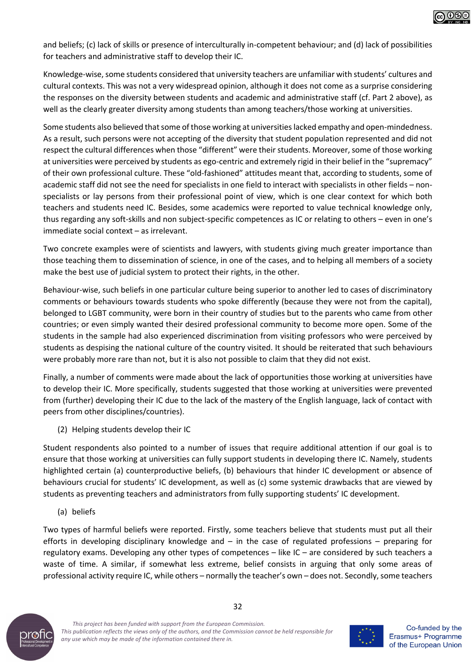

and beliefs; (c) lack of skills or presence of interculturally in-competent behaviour; and (d) lack of possibilities for teachers and administrative staff to develop their IC.

Knowledge-wise, some students considered that university teachers are unfamiliar with students' cultures and cultural contexts. This was not a very widespread opinion, although it does not come as a surprise considering the responses on the diversity between students and academic and administrative staff (cf. Part 2 above), as well as the clearly greater diversity among students than among teachers/those working at universities.

Some students also believed that some of those working at universities lacked empathy and open-mindedness. As a result, such persons were not accepting of the diversity that student population represented and did not respect the cultural differences when those "different" were their students. Moreover, some of those working at universities were perceived by students as ego-centric and extremely rigid in their belief in the "supremacy" of their own professional culture. These "old-fashioned" attitudes meant that, according to students, some of academic staff did not see the need for specialists in one field to interact with specialists in other fields – nonspecialists or lay persons from their professional point of view, which is one clear context for which both teachers and students need IC. Besides, some academics were reported to value technical knowledge only, thus regarding any soft-skills and non subject-specific competences as IC or relating to others – even in one's immediate social context – as irrelevant.

Two concrete examples were of scientists and lawyers, with students giving much greater importance than those teaching them to dissemination of science, in one of the cases, and to helping all members of a society make the best use of judicial system to protect their rights, in the other.

Behaviour-wise, such beliefs in one particular culture being superior to another led to cases of discriminatory comments or behaviours towards students who spoke differently (because they were not from the capital), belonged to LGBT community, were born in their country of studies but to the parents who came from other countries; or even simply wanted their desired professional community to become more open. Some of the students in the sample had also experienced discrimination from visiting professors who were perceived by students as despising the national culture of the country visited. It should be reiterated that such behaviours were probably more rare than not, but it is also not possible to claim that they did not exist.

Finally, a number of comments were made about the lack of opportunities those working at universities have to develop their IC. More specifically, students suggested that those working at universities were prevented from (further) developing their IC due to the lack of the mastery of the English language, lack of contact with peers from other disciplines/countries).

(2) Helping students develop their IC

Student respondents also pointed to a number of issues that require additional attention if our goal is to ensure that those working at universities can fully support students in developing there IC. Namely, students highlighted certain (a) counterproductive beliefs, (b) behaviours that hinder IC development or absence of behaviours crucial for students' IC development, as well as (c) some systemic drawbacks that are viewed by students as preventing teachers and administrators from fully supporting students' IC development.

(a) beliefs

Two types of harmful beliefs were reported. Firstly, some teachers believe that students must put all their efforts in developing disciplinary knowledge and – in the case of regulated professions – preparing for regulatory exams. Developing any other types of competences – like IC – are considered by such teachers a waste of time. A similar, if somewhat less extreme, belief consists in arguing that only some areas of professional activity require IC, while others – normally the teacher's own – does not. Secondly, some teachers



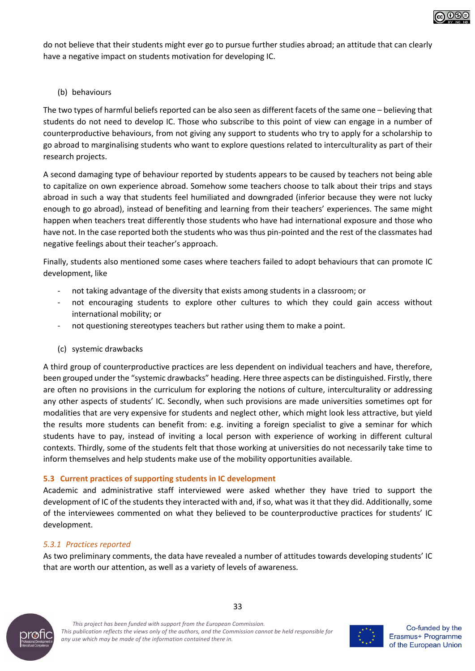

do not believe that their students might ever go to pursue further studies abroad; an attitude that can clearly have a negative impact on students motivation for developing IC.

#### (b) behaviours

The two types of harmful beliefs reported can be also seen as different facets of the same one – believing that students do not need to develop IC. Those who subscribe to this point of view can engage in a number of counterproductive behaviours, from not giving any support to students who try to apply for a scholarship to go abroad to marginalising students who want to explore questions related to interculturality as part of their research projects.

A second damaging type of behaviour reported by students appears to be caused by teachers not being able to capitalize on own experience abroad. Somehow some teachers choose to talk about their trips and stays abroad in such a way that students feel humiliated and downgraded (inferior because they were not lucky enough to go abroad), instead of benefiting and learning from their teachers' experiences. The same might happen when teachers treat differently those students who have had international exposure and those who have not. In the case reported both the students who was thus pin-pointed and the rest of the classmates had negative feelings about their teacher's approach.

Finally, students also mentioned some cases where teachers failed to adopt behaviours that can promote IC development, like

- not taking advantage of the diversity that exists among students in a classroom; or
- not encouraging students to explore other cultures to which they could gain access without international mobility; or
- not questioning stereotypes teachers but rather using them to make a point.
- (c) systemic drawbacks

A third group of counterproductive practices are less dependent on individual teachers and have, therefore, been grouped under the "systemic drawbacks" heading. Here three aspects can be distinguished. Firstly, there are often no provisions in the curriculum for exploring the notions of culture, interculturality or addressing any other aspects of students' IC. Secondly, when such provisions are made universities sometimes opt for modalities that are very expensive for students and neglect other, which might look less attractive, but yield the results more students can benefit from: e.g. inviting a foreign specialist to give a seminar for which students have to pay, instead of inviting a local person with experience of working in different cultural contexts. Thirdly, some of the students felt that those working at universities do not necessarily take time to inform themselves and help students make use of the mobility opportunities available.

#### **5.3 Current practices of supporting students in IC development**

Academic and administrative staff interviewed were asked whether they have tried to support the development of IC of the students they interacted with and, if so, what was it that they did. Additionally, some of the interviewees commented on what they believed to be counterproductive practices for students' IC development.

#### *5.3.1 Practices reported*

As two preliminary comments, the data have revealed a number of attitudes towards developing students' IC that are worth our attention, as well as a variety of levels of awareness.



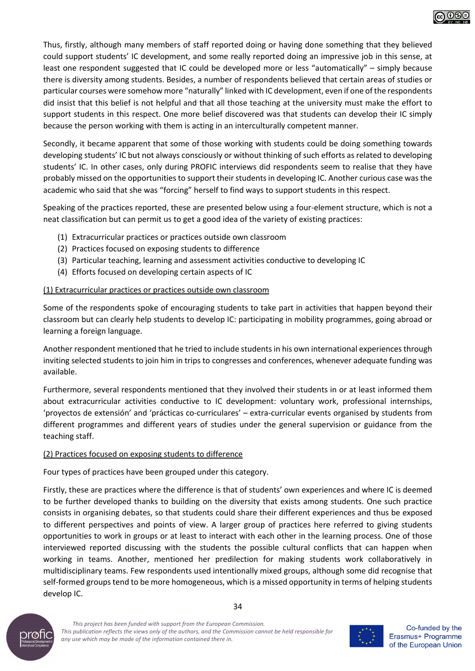

Thus, firstly, although many members of staff reported doing or having done something that they believed could support students' IC development, and some really reported doing an impressive job in this sense, at least one respondent suggested that IC could be developed more or less "automatically" – simply because there is diversity among students. Besides, a number of respondents believed that certain areas of studies or particular courses were somehow more "naturally" linked with IC development, even if one of the respondents did insist that this belief is not helpful and that all those teaching at the university must make the effort to support students in this respect. One more belief discovered was that students can develop their IC simply because the person working with them is acting in an interculturally competent manner.

Secondly, it became apparent that some of those working with students could be doing something towards developing students' IC but not always consciously or without thinking of such efforts as related to developing students' IC. In other cases, only during PROFIC interviews did respondents seem to realise that they have probably missed on the opportunities to support their students in developing IC. Another curious case was the academic who said that she was "forcing" herself to find ways to support students in this respect.

Speaking of the practices reported, these are presented below using a four-element structure, which is not a neat classification but can permit us to get a good idea of the variety of existing practices:

- (1) Extracurricular practices or practices outside own classroom
- (2) Practices focused on exposing students to difference
- (3) Particular teaching, learning and assessment activities conductive to developing IC
- (4) Efforts focused on developing certain aspects of IC

#### (1) Extracurricular practices or practices outside own classroom

Some of the respondents spoke of encouraging students to take part in activities that happen beyond their classroom but can clearly help students to develop IC: participating in mobility programmes, going abroad or learning a foreign language.

Another respondent mentioned that he tried to include students in his own international experiences through inviting selected students to join him in trips to congresses and conferences, whenever adequate funding was available.

Furthermore, several respondents mentioned that they involved their students in or at least informed them about extracurricular activities conductive to IC development: voluntary work, professional internships, 'proyectos de extensión' and 'prácticas co-curriculares' – extra-curricular events organised by students from different programmes and different years of studies under the general supervision or guidance from the teaching staff.

#### (2) Practices focused on exposing students to difference

Four types of practices have been grouped under this category.

Firstly, these are practices where the difference is that of students' own experiences and where IC is deemed to be further developed thanks to building on the diversity that exists among students. One such practice consists in organising debates, so that students could share their different experiences and thus be exposed to different perspectives and points of view. A larger group of practices here referred to giving students opportunities to work in groups or at least to interact with each other in the learning process. One of those interviewed reported discussing with the students the possible cultural conflicts that can happen when working in teams. Another, mentioned her predilection for making students work collaboratively in multidisciplinary teams. Few respondents used intentionally mixed groups, although some did recognise that self-formed groups tend to be more homogeneous, which is a missed opportunity in terms of helping students develop IC.





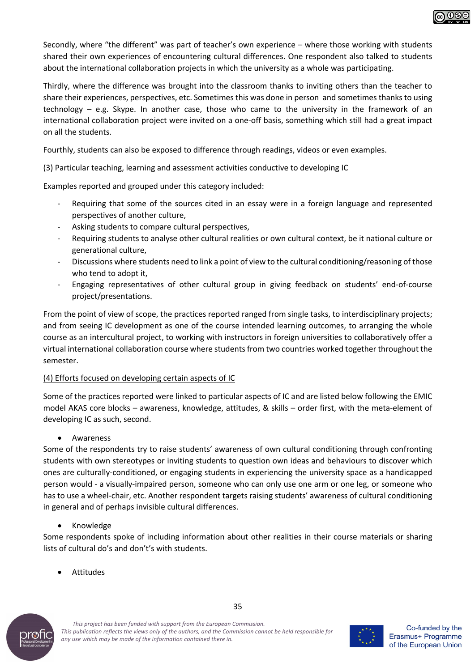Secondly, where "the different" was part of teacher's own experience – where those working with students shared their own experiences of encountering cultural differences. One respondent also talked to students about the international collaboration projects in which the university as a whole was participating.

Thirdly, where the difference was brought into the classroom thanks to inviting others than the teacher to share their experiences, perspectives, etc. Sometimes this was done in person and sometimes thanks to using technology – e.g. Skype. In another case, those who came to the university in the framework of an international collaboration project were invited on a one-off basis, something which still had a great impact on all the students.

Fourthly, students can also be exposed to difference through readings, videos or even examples.

#### (3) Particular teaching, learning and assessment activities conductive to developing IC

Examples reported and grouped under this category included:

- Requiring that some of the sources cited in an essay were in a foreign language and represented perspectives of another culture,
- Asking students to compare cultural perspectives,
- Requiring students to analyse other cultural realities or own cultural context, be it national culture or generational culture,
- Discussions where students need to link a point of view to the cultural conditioning/reasoning of those who tend to adopt it,
- Engaging representatives of other cultural group in giving feedback on students' end-of-course project/presentations.

From the point of view of scope, the practices reported ranged from single tasks, to interdisciplinary projects; and from seeing IC development as one of the course intended learning outcomes, to arranging the whole course as an intercultural project, to working with instructors in foreign universities to collaboratively offer a virtual international collaboration course where students from two countries worked together throughout the semester.

#### (4) Efforts focused on developing certain aspects of IC

Some of the practices reported were linked to particular aspects of IC and are listed below following the EMIC model AKAS core blocks – awareness, knowledge, attitudes, & skills – order first, with the meta-element of developing IC as such, second.

**Awareness** 

Some of the respondents try to raise students' awareness of own cultural conditioning through confronting students with own stereotypes or inviting students to question own ideas and behaviours to discover which ones are culturally-conditioned, or engaging students in experiencing the university space as a handicapped person would - a visually-impaired person, someone who can only use one arm or one leg, or someone who has to use a wheel-chair, etc. Another respondent targets raising students' awareness of cultural conditioning in general and of perhaps invisible cultural differences.

• Knowledge

Some respondents spoke of including information about other realities in their course materials or sharing lists of cultural do's and don't's with students.

35

**Attitudes** 





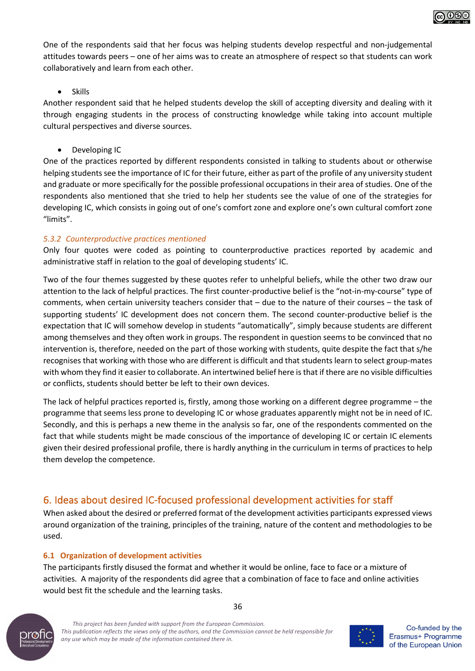

One of the respondents said that her focus was helping students develop respectful and non-judgemental attitudes towards peers – one of her aims was to create an atmosphere of respect so that students can work collaboratively and learn from each other.

#### **Skills**

Another respondent said that he helped students develop the skill of accepting diversity and dealing with it through engaging students in the process of constructing knowledge while taking into account multiple cultural perspectives and diverse sources.

• Developing IC

One of the practices reported by different respondents consisted in talking to students about or otherwise helping students see the importance of IC for their future, either as part of the profile of any university student and graduate or more specifically for the possible professional occupations in their area of studies. One of the respondents also mentioned that she tried to help her students see the value of one of the strategies for developing IC, which consists in going out of one's comfort zone and explore one's own cultural comfort zone "limits".

#### *5.3.2 Counterproductive practices mentioned*

Only four quotes were coded as pointing to counterproductive practices reported by academic and administrative staff in relation to the goal of developing students' IC.

Two of the four themes suggested by these quotes refer to unhelpful beliefs, while the other two draw our attention to the lack of helpful practices. The first counter-productive belief is the "not-in-my-course" type of comments, when certain university teachers consider that – due to the nature of their courses – the task of supporting students' IC development does not concern them. The second counter-productive belief is the expectation that IC will somehow develop in students "automatically", simply because students are different among themselves and they often work in groups. The respondent in question seems to be convinced that no intervention is, therefore, needed on the part of those working with students, quite despite the fact that s/he recognises that working with those who are different is difficult and that students learn to select group-mates with whom they find it easier to collaborate. An intertwined belief here is that if there are no visible difficulties or conflicts, students should better be left to their own devices.

The lack of helpful practices reported is, firstly, among those working on a different degree programme – the programme that seems less prone to developing IC or whose graduates apparently might not be in need of IC. Secondly, and this is perhaps a new theme in the analysis so far, one of the respondents commented on the fact that while students might be made conscious of the importance of developing IC or certain IC elements given their desired professional profile, there is hardly anything in the curriculum in terms of practices to help them develop the competence.

# 6. Ideas about desired IC-focused professional development activities for staff

When asked about the desired or preferred format of the development activities participants expressed views around organization of the training, principles of the training, nature of the content and methodologies to be used.

#### **6.1 Organization of development activities**

The participants firstly disused the format and whether it would be online, face to face or a mixture of activities. A majority of the respondents did agree that a combination of face to face and online activities would best fit the schedule and the learning tasks.



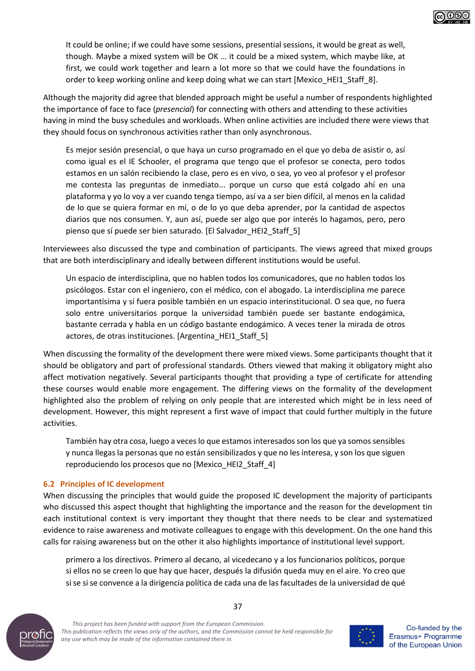

It could be online; if we could have some sessions, presential sessions, it would be great as well, though. Maybe a mixed system will be OK … it could be a mixed system, which maybe like, at first, we could work together and learn a lot more so that we could have the foundations in order to keep working online and keep doing what we can start [Mexico\_HEI1\_Staff\_8].

Although the majority did agree that blended approach might be useful a number of respondents highlighted the importance of face to face (*presencial*) for connecting with others and attending to these activities having in mind the busy schedules and workloads. When online activities are included there were views that they should focus on synchronous activities rather than only asynchronous.

Es mejor sesión presencial, o que haya un curso programado en el que yo deba de asistir o, así como igual es el IE Schooler, el programa que tengo que el profesor se conecta, pero todos estamos en un salón recibiendo la clase, pero es en vivo, o sea, yo veo al profesor y el profesor me contesta las preguntas de inmediato... porque un curso que está colgado ahí en una plataforma y yo lo voy a ver cuando tenga tiempo, así va a ser bien difícil, al menos en la calidad de lo que se quiera formar en mí, o de lo yo que deba aprender, por la cantidad de aspectos diarios que nos consumen. Y, aun así, puede ser algo que por interés lo hagamos, pero, pero pienso que sí puede ser bien saturado. [El Salvador HEI2 Staff 5]

Interviewees also discussed the type and combination of participants. The views agreed that mixed groups that are both interdisciplinary and ideally between different institutions would be useful.

Un espacio de interdisciplina, que no hablen todos los comunicadores, que no hablen todos los psicólogos. Estar con el ingeniero, con el médico, con el abogado. La interdisciplina me parece importantísima y sí fuera posible también en un espacio interinstitucional. O sea que, no fuera solo entre universitarios porque la universidad también puede ser bastante endogámica, bastante cerrada y habla en un código bastante endogámico. A veces tener la mirada de otros actores, de otras instituciones. [Argentina\_HEI1\_Staff\_5]

When discussing the formality of the development there were mixed views. Some participants thought that it should be obligatory and part of professional standards. Others viewed that making it obligatory might also affect motivation negatively. Several participants thought that providing a type of certificate for attending these courses would enable more engagement. The differing views on the formality of the development highlighted also the problem of relying on only people that are interested which might be in less need of development. However, this might represent a first wave of impact that could further multiply in the future activities.

También hay otra cosa, luego a veces lo que estamos interesados son los que ya somos sensibles y nunca llegas la personas que no están sensibilizados y que no les interesa, y son los que siguen reproduciendo los procesos que no [Mexico\_HEI2\_Staff\_4]

#### **6.2 Principles of IC development**

When discussing the principles that would guide the proposed IC development the majority of participants who discussed this aspect thought that highlighting the importance and the reason for the development tin each institutional context is very important they thought that there needs to be clear and systematized evidence to raise awareness and motivate colleagues to engage with this development. On the one hand this calls for raising awareness but on the other it also highlights importance of institutional level support.

primero a los directivos. Primero al decano, al vicedecano y a los funcionarios políticos, porque si ellos no se creen lo que hay que hacer, después la difusión queda muy en el aire. Yo creo que si se si se convence a la dirigencia política de cada una de las facultades de la universidad de qué



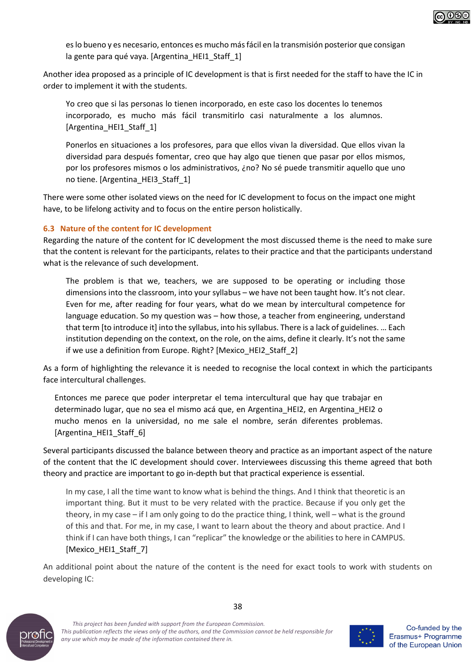

es lo bueno y es necesario, entonces es mucho más fácil en la transmisión posterior que consigan la gente para qué vaya. [Argentina\_HEI1\_Staff\_1]

Another idea proposed as a principle of IC development is that is first needed for the staff to have the IC in order to implement it with the students.

Yo creo que si las personas lo tienen incorporado, en este caso los docentes lo tenemos incorporado, es mucho más fácil transmitirlo casi naturalmente a los alumnos. [Argentina\_HEI1\_Staff\_1]

Ponerlos en situaciones a los profesores, para que ellos vivan la diversidad. Que ellos vivan la diversidad para después fomentar, creo que hay algo que tienen que pasar por ellos mismos, por los profesores mismos o los administrativos, ¿no? No sé puede transmitir aquello que uno no tiene. [Argentina\_HEI3\_Staff\_1]

There were some other isolated views on the need for IC development to focus on the impact one might have, to be lifelong activity and to focus on the entire person holistically.

#### **6.3 Nature of the content for IC development**

Regarding the nature of the content for IC development the most discussed theme is the need to make sure that the content is relevant for the participants, relates to their practice and that the participants understand what is the relevance of such development.

The problem is that we, teachers, we are supposed to be operating or including those dimensions into the classroom, into your syllabus – we have not been taught how. It's not clear. Even for me, after reading for four years, what do we mean by intercultural competence for language education. So my question was – how those, a teacher from engineering, understand that term [to introduce it] into the syllabus, into his syllabus. There is a lack of guidelines. … Each institution depending on the context, on the role, on the aims, define it clearly. It's not the same if we use a definition from Europe. Right? [Mexico HEI2 Staff 2]

As a form of highlighting the relevance it is needed to recognise the local context in which the participants face intercultural challenges.

Entonces me parece que poder interpretar el tema intercultural que hay que trabajar en determinado lugar, que no sea el mismo acá que, en Argentina\_HEI2, en Argentina\_HEI2 o mucho menos en la universidad, no me sale el nombre, serán diferentes problemas. [Argentina\_HEI1\_Staff\_6]

Several participants discussed the balance between theory and practice as an important aspect of the nature of the content that the IC development should cover. Interviewees discussing this theme agreed that both theory and practice are important to go in-depth but that practical experience is essential.

In my case, I all the time want to know what is behind the things. And I think that theoretic is an important thing. But it must to be very related with the practice. Because if you only get the theory, in my case – if I am only going to do the practice thing, I think, well – what is the ground of this and that. For me, in my case, I want to learn about the theory and about practice. And I think if I can have both things, I can "replicar" the knowledge or the abilities to here in CAMPUS. [Mexico\_HEI1\_Staff\_7]

An additional point about the nature of the content is the need for exact tools to work with students on developing IC:



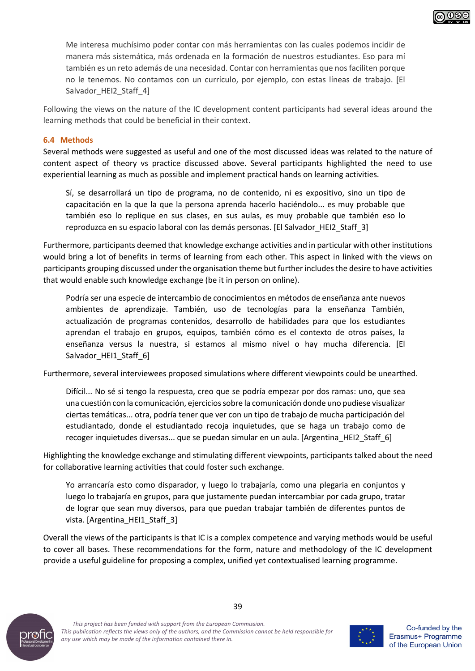Me interesa muchísimo poder contar con más herramientas con las cuales podemos incidir de manera más sistemática, más ordenada en la formación de nuestros estudiantes. Eso para mí también es un reto además de una necesidad. Contar con herramientas que nos faciliten porque no le tenemos. No contamos con un currículo, por ejemplo, con estas líneas de trabajo. [El Salvador HEI2 Staff 4]

Following the views on the nature of the IC development content participants had several ideas around the learning methods that could be beneficial in their context.

#### **6.4 Methods**

Several methods were suggested as useful and one of the most discussed ideas was related to the nature of content aspect of theory vs practice discussed above. Several participants highlighted the need to use experiential learning as much as possible and implement practical hands on learning activities.

Sí, se desarrollará un tipo de programa, no de contenido, ni es expositivo, sino un tipo de capacitación en la que la que la persona aprenda hacerlo haciéndolo... es muy probable que también eso lo replique en sus clases, en sus aulas, es muy probable que también eso lo reproduzca en su espacio laboral con las demás personas. [El Salvador\_HEI2\_Staff\_3]

Furthermore, participants deemed that knowledge exchange activities and in particular with other institutions would bring a lot of benefits in terms of learning from each other. This aspect in linked with the views on participants grouping discussed under the organisation theme but further includes the desire to have activities that would enable such knowledge exchange (be it in person on online).

Podría ser una especie de intercambio de conocimientos en métodos de enseñanza ante nuevos ambientes de aprendizaje. También, uso de tecnologías para la enseñanza También, actualización de programas contenidos, desarrollo de habilidades para que los estudiantes aprendan el trabajo en grupos, equipos, también cómo es el contexto de otros países, la enseñanza versus la nuestra, si estamos al mismo nivel o hay mucha diferencia. [El Salvador\_HEI1\_Staff\_6]

Furthermore, several interviewees proposed simulations where different viewpoints could be unearthed.

Difícil... No sé si tengo la respuesta, creo que se podría empezar por dos ramas: uno, que sea una cuestión con la comunicación, ejercicios sobre la comunicación donde uno pudiese visualizar ciertas temáticas... otra, podría tener que ver con un tipo de trabajo de mucha participación del estudiantado, donde el estudiantado recoja inquietudes, que se haga un trabajo como de recoger inquietudes diversas... que se puedan simular en un aula. [Argentina\_HEI2\_Staff\_6]

Highlighting the knowledge exchange and stimulating different viewpoints, participants talked about the need for collaborative learning activities that could foster such exchange.

Yo arrancaría esto como disparador, y luego lo trabajaría, como una plegaria en conjuntos y luego lo trabajaría en grupos, para que justamente puedan intercambiar por cada grupo, tratar de lograr que sean muy diversos, para que puedan trabajar también de diferentes puntos de vista. [Argentina\_HEI1\_Staff\_3]

Overall the views of the participants is that IC is a complex competence and varying methods would be useful to cover all bases. These recommendations for the form, nature and methodology of the IC development provide a useful guideline for proposing a complex, unified yet contextualised learning programme.



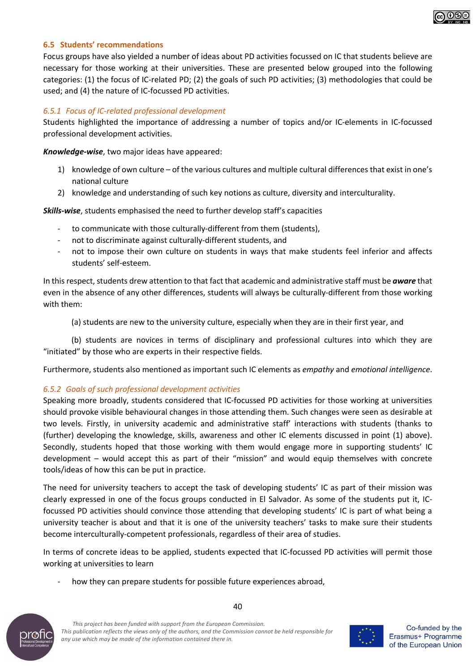#### **6.5 Students' recommendations**

Focus groups have also yielded a number of ideas about PD activities focussed on IC that students believe are necessary for those working at their universities. These are presented below grouped into the following categories: (1) the focus of IC-related PD; (2) the goals of such PD activities; (3) methodologies that could be used; and (4) the nature of IC-focussed PD activities.

#### *6.5.1 Focus of IC-related professional development*

Students highlighted the importance of addressing a number of topics and/or IC-elements in IC-focussed professional development activities.

*Knowledge-wise*, two major ideas have appeared:

- 1) knowledge of own culture of the various cultures and multiple cultural differences that exist in one's national culture
- 2) knowledge and understanding of such key notions as culture, diversity and interculturality.

*Skills-wise*, students emphasised the need to further develop staff's capacities

- to communicate with those culturally-different from them (students),
- not to discriminate against culturally-different students, and
- not to impose their own culture on students in ways that make students feel inferior and affects students' self-esteem.

In this respect, students drew attention to that fact that academic and administrative staff must be *aware* that even in the absence of any other differences, students will always be culturally-different from those working with them:

(a) students are new to the university culture, especially when they are in their first year, and

(b) students are novices in terms of disciplinary and professional cultures into which they are "initiated" by those who are experts in their respective fields.

Furthermore, students also mentioned as important such IC elements as *empathy* and *emotional intelligence*.

#### *6.5.2 Goals of such professional development activities*

Speaking more broadly, students considered that IC-focussed PD activities for those working at universities should provoke visible behavioural changes in those attending them. Such changes were seen as desirable at two levels. Firstly, in university academic and administrative staff' interactions with students (thanks to (further) developing the knowledge, skills, awareness and other IC elements discussed in point (1) above). Secondly, students hoped that those working with them would engage more in supporting students' IC development – would accept this as part of their "mission" and would equip themselves with concrete tools/ideas of how this can be put in practice.

The need for university teachers to accept the task of developing students' IC as part of their mission was clearly expressed in one of the focus groups conducted in El Salvador. As some of the students put it, ICfocussed PD activities should convince those attending that developing students' IC is part of what being a university teacher is about and that it is one of the university teachers' tasks to make sure their students become interculturally-competent professionals, regardless of their area of studies.

In terms of concrete ideas to be applied, students expected that IC-focussed PD activities will permit those working at universities to learn

how they can prepare students for possible future experiences abroad,





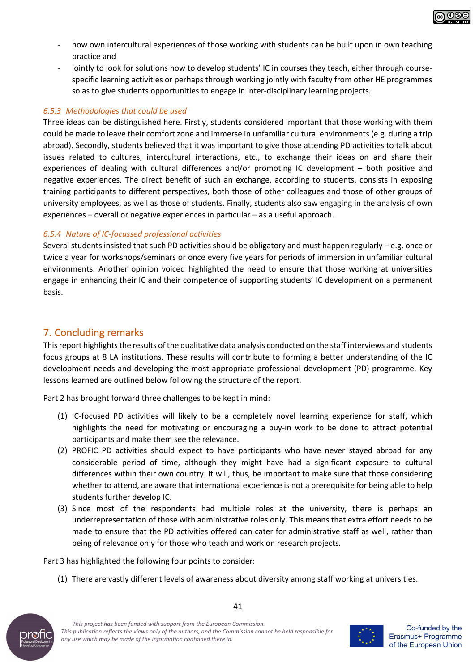

- how own intercultural experiences of those working with students can be built upon in own teaching practice and
- iointly to look for solutions how to develop students' IC in courses they teach, either through coursespecific learning activities or perhaps through working jointly with faculty from other HE programmes so as to give students opportunities to engage in inter-disciplinary learning projects.

#### *6.5.3 Methodologies that could be used*

Three ideas can be distinguished here. Firstly, students considered important that those working with them could be made to leave their comfort zone and immerse in unfamiliar cultural environments (e.g. during a trip abroad). Secondly, students believed that it was important to give those attending PD activities to talk about issues related to cultures, intercultural interactions, etc., to exchange their ideas on and share their experiences of dealing with cultural differences and/or promoting IC development – both positive and negative experiences. The direct benefit of such an exchange, according to students, consists in exposing training participants to different perspectives, both those of other colleagues and those of other groups of university employees, as well as those of students. Finally, students also saw engaging in the analysis of own experiences – overall or negative experiences in particular – as a useful approach.

#### *6.5.4 Nature of IC-focussed professional activities*

Several students insisted that such PD activities should be obligatory and must happen regularly – e.g. once or twice a year for workshops/seminars or once every five years for periods of immersion in unfamiliar cultural environments. Another opinion voiced highlighted the need to ensure that those working at universities engage in enhancing their IC and their competence of supporting students' IC development on a permanent basis.

# 7. Concluding remarks

This report highlights the results of the qualitative data analysis conducted on the staff interviews and students focus groups at 8 LA institutions. These results will contribute to forming a better understanding of the IC development needs and developing the most appropriate professional development (PD) programme. Key lessons learned are outlined below following the structure of the report.

Part 2 has brought forward three challenges to be kept in mind:

- (1) IC-focused PD activities will likely to be a completely novel learning experience for staff, which highlights the need for motivating or encouraging a buy-in work to be done to attract potential participants and make them see the relevance.
- (2) PROFIC PD activities should expect to have participants who have never stayed abroad for any considerable period of time, although they might have had a significant exposure to cultural differences within their own country. It will, thus, be important to make sure that those considering whether to attend, are aware that international experience is not a prerequisite for being able to help students further develop IC.
- (3) Since most of the respondents had multiple roles at the university, there is perhaps an underrepresentation of those with administrative roles only. This means that extra effort needs to be made to ensure that the PD activities offered can cater for administrative staff as well, rather than being of relevance only for those who teach and work on research projects.

Part 3 has highlighted the following four points to consider:

(1) There are vastly different levels of awareness about diversity among staff working at universities.